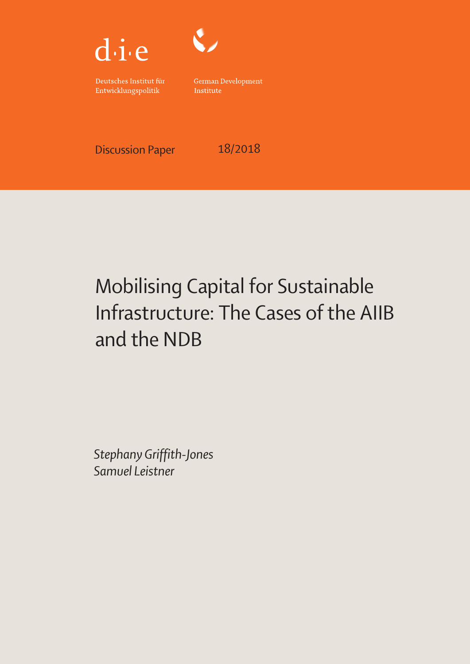



Deutsches Institut für Entwicklungspolitik

German Development Institute

Discussion Paper 18/2018

# Mobilising Capital for Sustainable Infrastructure: The Cases of the AIIB and the NDB

Stephany Griffith-Jones Samuel Leistner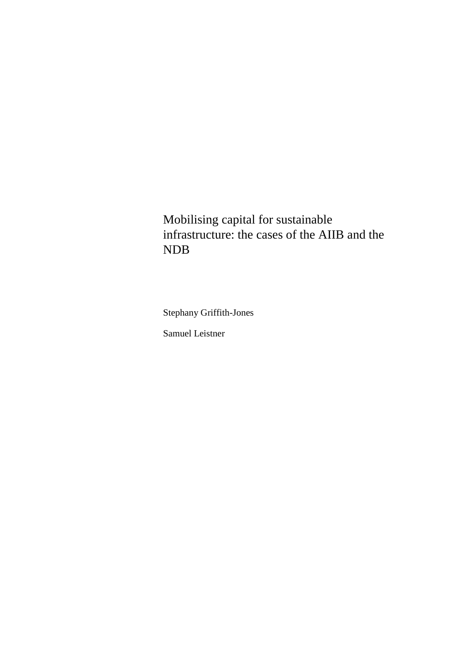# Mobilising capital for sustainable infrastructure: the cases of the AIIB and the NDB

Stephany Griffith-Jones

Samuel Leistner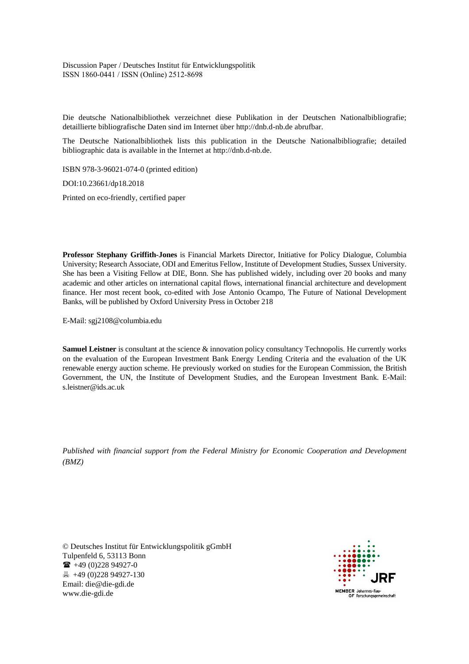Discussion Paper / Deutsches Institut für Entwicklungspolitik ISSN 1860-0441 / ISSN (Online) 2512-8698

Die deutsche Nationalbibliothek verzeichnet diese Publikation in der Deutschen Nationalbibliografie; detaillierte bibliografische Daten sind im Internet über http://dnb.d-nb.de abrufbar.

The Deutsche Nationalbibliothek lists this publication in the Deutsche Nationalbibliografie; detailed bibliographic data is available in the Internet at http://dnb.d-nb.de.

ISBN 978-3-96021-074-0 (printed edition)

DOI:10.23661/dp18.2018

Printed on eco-friendly, certified paper

**Professor Stephany Griffith-Jones** is Financial Markets Director, Initiative for Policy Dialogue, Columbia University; Research Associate, ODI and Emeritus Fellow, Institute of Development Studies, Sussex University. She has been a Visiting Fellow at DIE, Bonn. She has published widely, including over 20 books and many academic and other articles on international capital flows, international financial architecture and development finance. Her most recent book, co-edited with Jose Antonio Ocampo, The Future of National Development Banks, will be published by Oxford University Press in October 218

E-Mail: sgj2108@columbia.edu

**Samuel Leistner** is consultant at the science & innovation policy consultancy Technopolis. He currently works on the evaluation of the European Investment Bank Energy Lending Criteria and the evaluation of the UK renewable energy auction scheme. He previously worked on studies for the European Commission, the British Government, the UN, the Institute of Development Studies, and the European Investment Bank. E-Mail: s.leistner@ids.ac.uk

*Published with financial support from the Federal Ministry for Economic Cooperation and Development (BMZ)*

© Deutsches Institut für Entwicklungspolitik gGmbH Tulpenfeld 6, 53113 Bonn  $\bullet$  +49 (0)228 94927-0 +49 (0)228 94927-130 Email: die@die-gdi.de [www.die-gdi.de](http://www.die-gdi.de/)

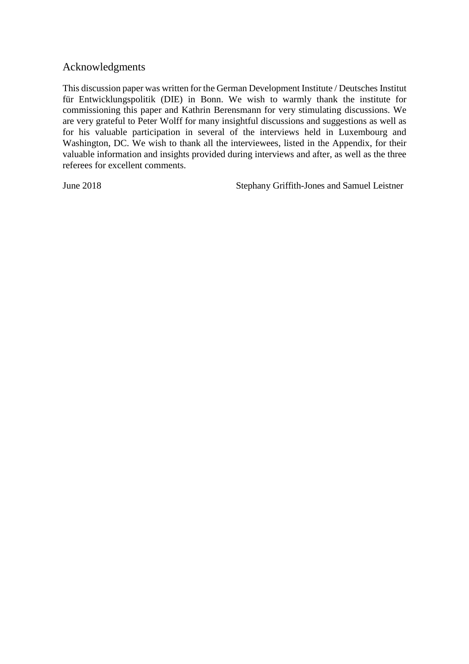## Acknowledgments

This discussion paper was written for the German Development Institute / Deutsches Institut für Entwicklungspolitik (DIE) in Bonn. We wish to warmly thank the institute for commissioning this paper and Kathrin Berensmann for very stimulating discussions. We are very grateful to Peter Wolff for many insightful discussions and suggestions as well as for his valuable participation in several of the interviews held in Luxembourg and Washington, DC. We wish to thank all the interviewees, listed in the Appendix, for their valuable information and insights provided during interviews and after, as well as the three referees for excellent comments.

June 2018 Stephany Griffith-Jones and Samuel Leistner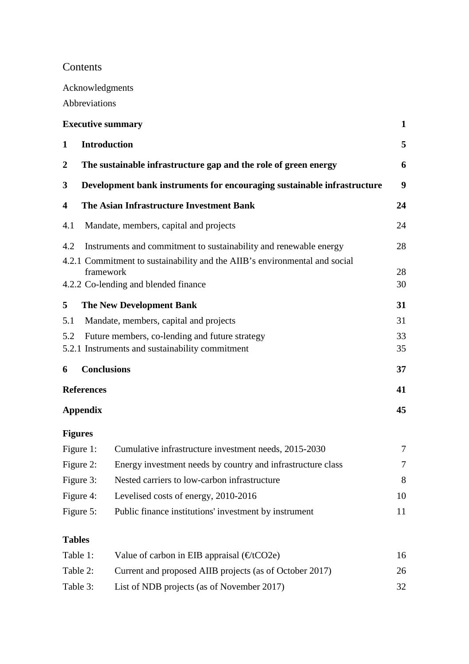## Contents

Acknowledgments

Abbreviations

|                  |                     | <b>Executive summary</b>                                                                                                                        | $\mathbf{1}$ |
|------------------|---------------------|-------------------------------------------------------------------------------------------------------------------------------------------------|--------------|
| $\mathbf{1}$     | <b>Introduction</b> |                                                                                                                                                 | 5            |
| $\boldsymbol{2}$ |                     | The sustainable infrastructure gap and the role of green energy                                                                                 | 6            |
| 3                |                     | Development bank instruments for encouraging sustainable infrastructure                                                                         | 9            |
| 4                |                     | The Asian Infrastructure Investment Bank                                                                                                        | 24           |
| 4.1              |                     | Mandate, members, capital and projects                                                                                                          | 24           |
| 4.2              |                     | Instruments and commitment to sustainability and renewable energy<br>4.2.1 Commitment to sustainability and the AIIB's environmental and social | 28           |
|                  | framework           |                                                                                                                                                 | 28           |
|                  |                     | 4.2.2 Co-lending and blended finance                                                                                                            | 30           |
| 5                |                     | <b>The New Development Bank</b>                                                                                                                 | 31           |
| 5.1              |                     | Mandate, members, capital and projects                                                                                                          | 31           |
| 5.2              |                     | Future members, co-lending and future strategy                                                                                                  | 33           |
|                  |                     | 5.2.1 Instruments and sustainability commitment                                                                                                 | 35           |
| 6                | <b>Conclusions</b>  |                                                                                                                                                 | 37           |
|                  | <b>References</b>   |                                                                                                                                                 | 41           |
| <b>Appendix</b>  |                     |                                                                                                                                                 | 45           |
| <b>Figures</b>   |                     |                                                                                                                                                 |              |
| Figure 1:        |                     | Cumulative infrastructure investment needs, 2015-2030                                                                                           | $\tau$       |
| Figure 2:        |                     | Energy investment needs by country and infrastructure class                                                                                     | 7            |
| Figure 3:        |                     | Nested carriers to low-carbon infrastructure                                                                                                    | 8            |
| Figure 4:        |                     | Levelised costs of energy, 2010-2016                                                                                                            | 10           |
| Figure 5:        |                     | Public finance institutions' investment by instrument                                                                                           | 11           |
| <b>Tables</b>    |                     |                                                                                                                                                 |              |
| Table 1:         |                     | Value of carbon in EIB appraisal $(\text{\textcircled{et}} CO2e)$                                                                               | 16           |
| Table 2:         |                     | Current and proposed AIIB projects (as of October 2017)                                                                                         | 26           |
| Table 3:         |                     | List of NDB projects (as of November 2017)                                                                                                      | 32           |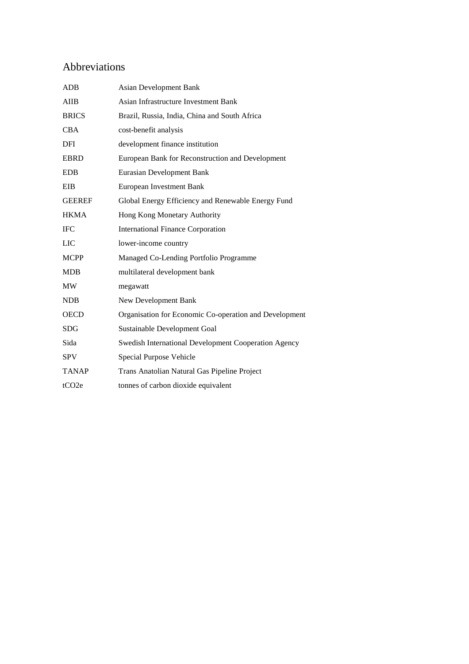# Abbreviations

| <b>ADB</b>        | <b>Asian Development Bank</b>                          |
|-------------------|--------------------------------------------------------|
| <b>AIIB</b>       | Asian Infrastructure Investment Bank                   |
| <b>BRICS</b>      | Brazil, Russia, India, China and South Africa          |
| <b>CBA</b>        | cost-benefit analysis                                  |
| DFI               | development finance institution                        |
| <b>EBRD</b>       | European Bank for Reconstruction and Development       |
| <b>EDB</b>        | <b>Eurasian Development Bank</b>                       |
| <b>EIB</b>        | <b>European Investment Bank</b>                        |
| <b>GEEREF</b>     | Global Energy Efficiency and Renewable Energy Fund     |
| <b>HKMA</b>       | Hong Kong Monetary Authority                           |
| <b>IFC</b>        | <b>International Finance Corporation</b>               |
| LIC               | lower-income country                                   |
| <b>MCPP</b>       | Managed Co-Lending Portfolio Programme                 |
| <b>MDB</b>        | multilateral development bank                          |
| MW                | megawatt                                               |
| <b>NDB</b>        | New Development Bank                                   |
| <b>OECD</b>       | Organisation for Economic Co-operation and Development |
| <b>SDG</b>        | Sustainable Development Goal                           |
| Sida              | Swedish International Development Cooperation Agency   |
| <b>SPV</b>        | Special Purpose Vehicle                                |
| <b>TANAP</b>      | Trans Anatolian Natural Gas Pipeline Project           |
| tCO <sub>2e</sub> | tonnes of carbon dioxide equivalent                    |
|                   |                                                        |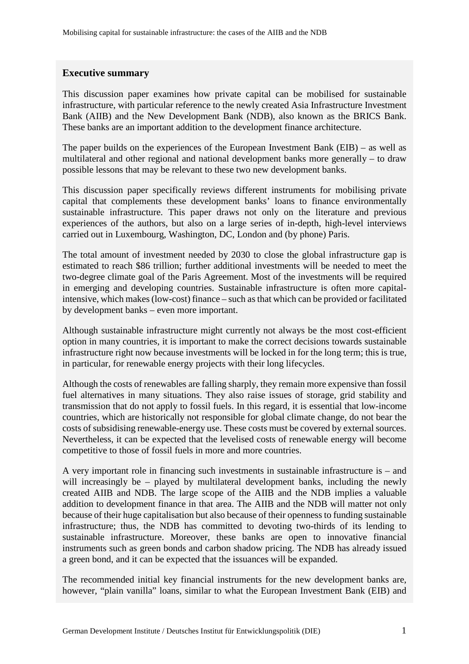#### **Executive summary**

This discussion paper examines how private capital can be mobilised for sustainable infrastructure, with particular reference to the newly created Asia Infrastructure Investment Bank (AIIB) and the New Development Bank (NDB), also known as the BRICS Bank. These banks are an important addition to the development finance architecture.

The paper builds on the experiences of the European Investment Bank (EIB) – as well as multilateral and other regional and national development banks more generally – to draw possible lessons that may be relevant to these two new development banks.

This discussion paper specifically reviews different instruments for mobilising private capital that complements these development banks' loans to finance environmentally sustainable infrastructure. This paper draws not only on the literature and previous experiences of the authors, but also on a large series of in-depth, high-level interviews carried out in Luxembourg, Washington, DC, London and (by phone) Paris.

The total amount of investment needed by 2030 to close the global infrastructure gap is estimated to reach \$86 trillion; further additional investments will be needed to meet the two-degree climate goal of the Paris Agreement. Most of the investments will be required in emerging and developing countries. Sustainable infrastructure is often more capitalintensive, which makes (low-cost) finance – such as that which can be provided or facilitated by development banks – even more important.

Although sustainable infrastructure might currently not always be the most cost-efficient option in many countries, it is important to make the correct decisions towards sustainable infrastructure right now because investments will be locked in for the long term; this is true, in particular, for renewable energy projects with their long lifecycles.

Although the costs of renewables are falling sharply, they remain more expensive than fossil fuel alternatives in many situations. They also raise issues of storage, grid stability and transmission that do not apply to fossil fuels. In this regard, it is essential that low-income countries, which are historically not responsible for global climate change, do not bear the costs of subsidising renewable-energy use. These costs must be covered by external sources. Nevertheless, it can be expected that the levelised costs of renewable energy will become competitive to those of fossil fuels in more and more countries.

A very important role in financing such investments in sustainable infrastructure is – and will increasingly be – played by multilateral development banks, including the newly created AIIB and NDB. The large scope of the AIIB and the NDB implies a valuable addition to development finance in that area. The AIIB and the NDB will matter not only because of their huge capitalisation but also because of their openness to funding sustainable infrastructure; thus, the NDB has committed to devoting two-thirds of its lending to sustainable infrastructure. Moreover, these banks are open to innovative financial instruments such as green bonds and carbon shadow pricing. The NDB has already issued a green bond, and it can be expected that the issuances will be expanded.

The recommended initial key financial instruments for the new development banks are, however, "plain vanilla" loans, similar to what the European Investment Bank (EIB) and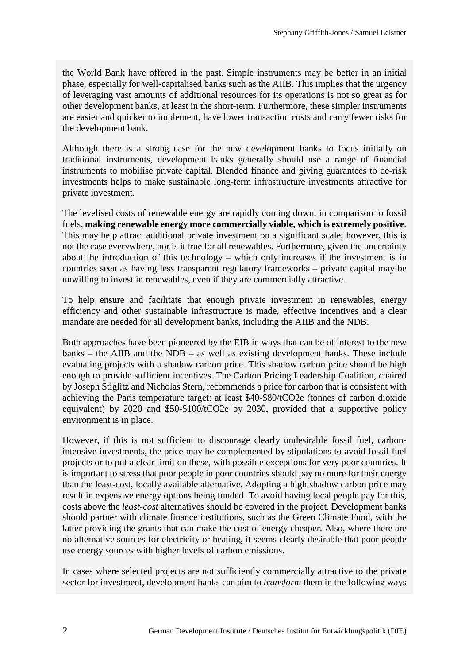the World Bank have offered in the past. Simple instruments may be better in an initial phase, especially for well-capitalised banks such as the AIIB. This implies that the urgency of leveraging vast amounts of additional resources for its operations is not so great as for other development banks, at least in the short-term. Furthermore, these simpler instruments are easier and quicker to implement, have lower transaction costs and carry fewer risks for the development bank.

Although there is a strong case for the new development banks to focus initially on traditional instruments, development banks generally should use a range of financial instruments to mobilise private capital. Blended finance and giving guarantees to de-risk investments helps to make sustainable long-term infrastructure investments attractive for private investment.

The levelised costs of renewable energy are rapidly coming down, in comparison to fossil fuels, **making renewable energy more commercially viable, which is extremely positive**. This may help attract additional private investment on a significant scale; however, this is not the case everywhere, nor is it true for all renewables. Furthermore, given the uncertainty about the introduction of this technology – which only increases if the investment is in countries seen as having less transparent regulatory frameworks – private capital may be unwilling to invest in renewables, even if they are commercially attractive.

To help ensure and facilitate that enough private investment in renewables, energy efficiency and other sustainable infrastructure is made, effective incentives and a clear mandate are needed for all development banks, including the AIIB and the NDB.

Both approaches have been pioneered by the EIB in ways that can be of interest to the new banks – the AIIB and the NDB – as well as existing development banks. These include evaluating projects with a shadow carbon price. This shadow carbon price should be high enough to provide sufficient incentives. The Carbon Pricing Leadership Coalition, chaired by Joseph Stiglitz and Nicholas Stern, recommends a price for carbon that is consistent with achieving the Paris temperature target: at least \$40-\$80/tCO2e (tonnes of carbon dioxide equivalent) by 2020 and \$50-\$100/tCO2e by 2030, provided that a supportive policy environment is in place.

However, if this is not sufficient to discourage clearly undesirable fossil fuel, carbonintensive investments, the price may be complemented by stipulations to avoid fossil fuel projects or to put a clear limit on these, with possible exceptions for very poor countries. It is important to stress that poor people in poor countries should pay no more for their energy than the least-cost, locally available alternative. Adopting a high shadow carbon price may result in expensive energy options being funded. To avoid having local people pay for this, costs above the *least-cost* alternatives should be covered in the project. Development banks should partner with climate finance institutions, such as the Green Climate Fund, with the latter providing the grants that can make the cost of energy cheaper. Also, where there are no alternative sources for electricity or heating, it seems clearly desirable that poor people use energy sources with higher levels of carbon emissions.

In cases where selected projects are not sufficiently commercially attractive to the private sector for investment, development banks can aim to *transform* them in the following ways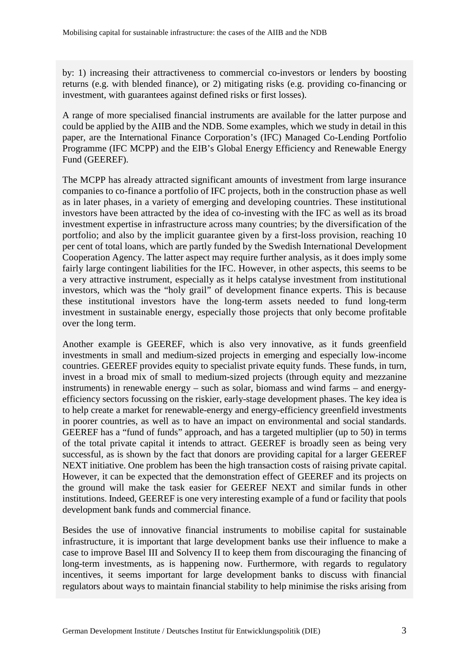by: 1) increasing their attractiveness to commercial co-investors or lenders by boosting returns (e.g. with blended finance), or 2) mitigating risks (e.g. providing co-financing or investment, with guarantees against defined risks or first losses).

A range of more specialised financial instruments are available for the latter purpose and could be applied by the AIIB and the NDB. Some examples, which we study in detail in this paper, are the International Finance Corporation's (IFC) Managed Co-Lending Portfolio Programme (IFC MCPP) and the EIB's Global Energy Efficiency and Renewable Energy Fund (GEEREF).

The MCPP has already attracted significant amounts of investment from large insurance companies to co-finance a portfolio of IFC projects, both in the construction phase as well as in later phases, in a variety of emerging and developing countries. These institutional investors have been attracted by the idea of co-investing with the IFC as well as its broad investment expertise in infrastructure across many countries; by the diversification of the portfolio; and also by the implicit guarantee given by a first-loss provision, reaching 10 per cent of total loans, which are partly funded by the Swedish International Development Cooperation Agency. The latter aspect may require further analysis, as it does imply some fairly large contingent liabilities for the IFC. However, in other aspects, this seems to be a very attractive instrument, especially as it helps catalyse investment from institutional investors, which was the "holy grail" of development finance experts. This is because these institutional investors have the long-term assets needed to fund long-term investment in sustainable energy, especially those projects that only become profitable over the long term.

Another example is GEEREF, which is also very innovative, as it funds greenfield investments in small and medium-sized projects in emerging and especially low-income countries. GEEREF provides equity to specialist private equity funds. These funds, in turn, invest in a broad mix of small to medium-sized projects (through equity and mezzanine instruments) in renewable energy – such as solar, biomass and wind farms – and energyefficiency sectors focussing on the riskier, early-stage development phases. The key idea is to help create a market for renewable-energy and energy-efficiency greenfield investments in poorer countries, as well as to have an impact on environmental and social standards. GEEREF has a "fund of funds" approach, and has a targeted multiplier (up to 50) in terms of the total private capital it intends to attract. GEEREF is broadly seen as being very successful, as is shown by the fact that donors are providing capital for a larger GEEREF NEXT initiative. One problem has been the high transaction costs of raising private capital. However, it can be expected that the demonstration effect of GEEREF and its projects on the ground will make the task easier for GEEREF NEXT and similar funds in other institutions. Indeed, GEEREF is one very interesting example of a fund or facility that pools development bank funds and commercial finance.

Besides the use of innovative financial instruments to mobilise capital for sustainable infrastructure, it is important that large development banks use their influence to make a case to improve Basel III and Solvency II to keep them from discouraging the financing of long-term investments, as is happening now. Furthermore, with regards to regulatory incentives, it seems important for large development banks to discuss with financial regulators about ways to maintain financial stability to help minimise the risks arising from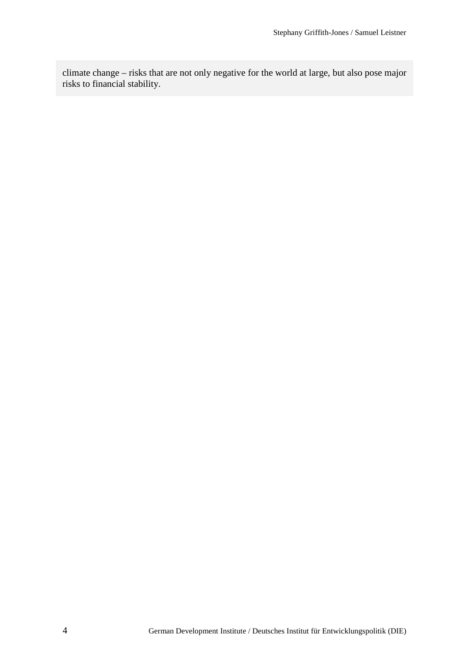climate change – risks that are not only negative for the world at large, but also pose major risks to financial stability.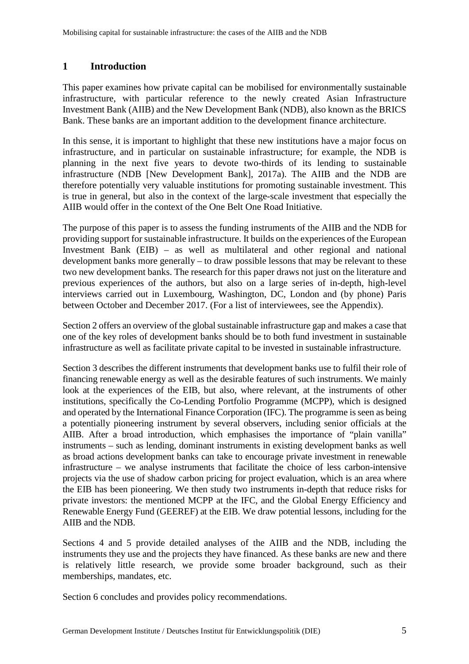## **1 Introduction**

This paper examines how private capital can be mobilised for environmentally sustainable infrastructure, with particular reference to the newly created Asian Infrastructure Investment Bank (AIIB) and the New Development Bank (NDB), also known as the BRICS Bank. These banks are an important addition to the development finance architecture.

In this sense, it is important to highlight that these new institutions have a major focus on infrastructure, and in particular on sustainable infrastructure; for example, the NDB is planning in the next five years to devote two-thirds of its lending to sustainable infrastructure (NDB [New Development Bank], 2017a). The AIIB and the NDB are therefore potentially very valuable institutions for promoting sustainable investment. This is true in general, but also in the context of the large-scale investment that especially the AIIB would offer in the context of the One Belt One Road Initiative.

The purpose of this paper is to assess the funding instruments of the AIIB and the NDB for providing support for sustainable infrastructure. It builds on the experiences of the European Investment Bank (EIB) – as well as multilateral and other regional and national development banks more generally – to draw possible lessons that may be relevant to these two new development banks. The research for this paper draws not just on the literature and previous experiences of the authors, but also on a large series of in-depth, high-level interviews carried out in Luxembourg, Washington, DC, London and (by phone) Paris between October and December 2017. (For a list of interviewees, see the Appendix).

Section 2 offers an overview of the global sustainable infrastructure gap and makes a case that one of the key roles of development banks should be to both fund investment in sustainable infrastructure as well as facilitate private capital to be invested in sustainable infrastructure.

Section 3 describes the different instruments that development banks use to fulfil their role of financing renewable energy as well as the desirable features of such instruments. We mainly look at the experiences of the EIB, but also, where relevant, at the instruments of other institutions, specifically the Co-Lending Portfolio Programme (MCPP), which is designed and operated by the International Finance Corporation (IFC). The programme is seen as being a potentially pioneering instrument by several observers, including senior officials at the AIIB. After a broad introduction, which emphasises the importance of "plain vanilla" instruments – such as lending, dominant instruments in existing development banks as well as broad actions development banks can take to encourage private investment in renewable infrastructure – we analyse instruments that facilitate the choice of less carbon-intensive projects via the use of shadow carbon pricing for project evaluation, which is an area where the EIB has been pioneering. We then study two instruments in-depth that reduce risks for private investors: the mentioned MCPP at the IFC, and the Global Energy Efficiency and Renewable Energy Fund (GEEREF) at the EIB. We draw potential lessons, including for the AIIB and the NDB.

Sections 4 and 5 provide detailed analyses of the AIIB and the NDB, including the instruments they use and the projects they have financed. As these banks are new and there is relatively little research, we provide some broader background, such as their memberships, mandates, etc.

Section 6 concludes and provides policy recommendations.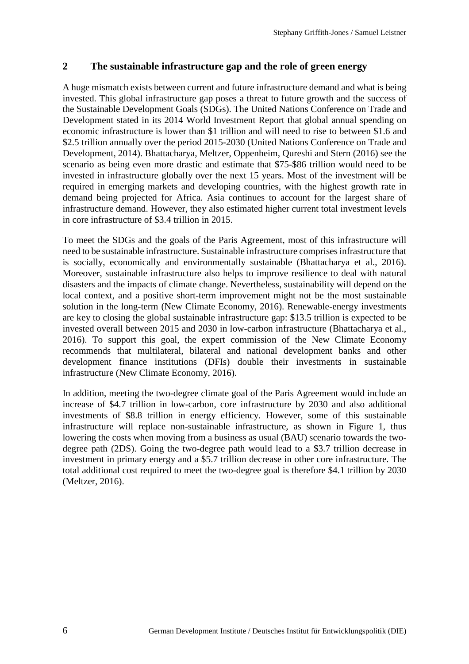## **2 The sustainable infrastructure gap and the role of green energy**

A huge mismatch exists between current and future infrastructure demand and what is being invested. This global infrastructure gap poses a threat to future growth and the success of the Sustainable Development Goals (SDGs). The United Nations Conference on Trade and Development stated in its 2014 World Investment Report that global annual spending on economic infrastructure is lower than \$1 trillion and will need to rise to between \$1.6 and \$2.5 trillion annually over the period 2015-2030 (United Nations Conference on Trade and Development, 2014). Bhattacharya, Meltzer, Oppenheim, Qureshi and Stern (2016) see the scenario as being even more drastic and estimate that \$75-\$86 trillion would need to be invested in infrastructure globally over the next 15 years. Most of the investment will be required in emerging markets and developing countries, with the highest growth rate in demand being projected for Africa. Asia continues to account for the largest share of infrastructure demand. However, they also estimated higher current total investment levels in core infrastructure of \$3.4 trillion in 2015.

To meet the SDGs and the goals of the Paris Agreement, most of this infrastructure will need to be sustainable infrastructure. Sustainable infrastructure comprises infrastructure that is socially, economically and environmentally sustainable (Bhattacharya et al., 2016). Moreover, sustainable infrastructure also helps to improve resilience to deal with natural disasters and the impacts of climate change. Nevertheless, sustainability will depend on the local context, and a positive short-term improvement might not be the most sustainable solution in the long-term (New Climate Economy, 2016). Renewable-energy investments are key to closing the global sustainable infrastructure gap: \$13.5 trillion is expected to be invested overall between 2015 and 2030 in low-carbon infrastructure (Bhattacharya et al., 2016). To support this goal, the expert commission of the New Climate Economy recommends that multilateral, bilateral and national development banks and other development finance institutions (DFIs) double their investments in sustainable infrastructure (New Climate Economy, 2016).

In addition, meeting the two-degree climate goal of the Paris Agreement would include an increase of \$4.7 trillion in low-carbon, core infrastructure by 2030 and also additional investments of \$8.8 trillion in energy efficiency. However, some of this sustainable infrastructure will replace non-sustainable infrastructure, as shown in Figure 1, thus lowering the costs when moving from a business as usual (BAU) scenario towards the twodegree path (2DS). Going the two-degree path would lead to a \$3.7 trillion decrease in investment in primary energy and a \$5.7 trillion decrease in other core infrastructure. The total additional cost required to meet the two-degree goal is therefore \$4.1 trillion by 2030 (Meltzer, 2016).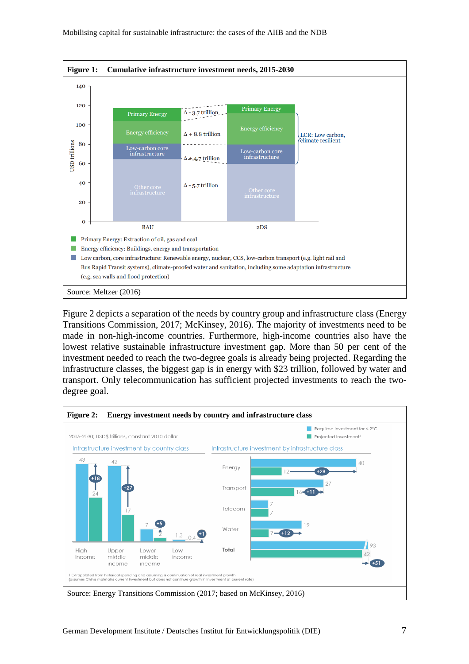

Figure 2 depicts a separation of the needs by country group and infrastructure class (Energy Transitions Commission, 2017; McKinsey, 2016). The majority of investments need to be made in non-high-income countries. Furthermore, high-income countries also have the lowest relative sustainable infrastructure investment gap. More than 50 per cent of the investment needed to reach the two-degree goals is already being projected. Regarding the infrastructure classes, the biggest gap is in energy with \$23 trillion, followed by water and transport. Only telecommunication has sufficient projected investments to reach the twodegree goal.

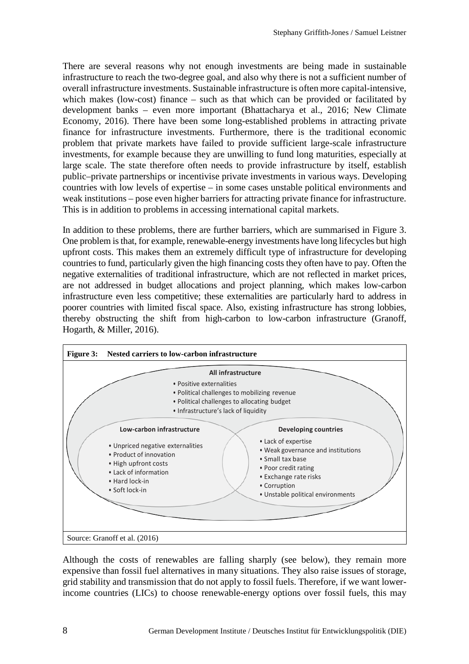There are several reasons why not enough investments are being made in sustainable infrastructure to reach the two-degree goal, and also why there is not a sufficient number of overall infrastructure investments. Sustainable infrastructure is often more capital-intensive, which makes (low-cost) finance – such as that which can be provided or facilitated by development banks – even more important (Bhattacharya et al., 2016; New Climate Economy, 2016). There have been some long-established problems in attracting private finance for infrastructure investments. Furthermore, there is the traditional economic problem that private markets have failed to provide sufficient large-scale infrastructure investments, for example because they are unwilling to fund long maturities, especially at large scale. The state therefore often needs to provide infrastructure by itself, establish public–private partnerships or incentivise private investments in various ways. Developing countries with low levels of expertise – in some cases unstable political environments and weak institutions – pose even higher barriers for attracting private finance for infrastructure. This is in addition to problems in accessing international capital markets.

In addition to these problems, there are further barriers, which are summarised in Figure 3. One problem is that, for example, renewable-energy investments have long lifecycles but high upfront costs. This makes them an extremely difficult type of infrastructure for developing countries to fund, particularly given the high financing costs they often have to pay. Often the negative externalities of traditional infrastructure, which are not reflected in market prices, are not addressed in budget allocations and project planning, which makes low-carbon infrastructure even less competitive; these externalities are particularly hard to address in poorer countries with limited fiscal space. Also, existing infrastructure has strong lobbies, thereby obstructing the shift from high-carbon to low-carbon infrastructure (Granoff, Hogarth, & Miller, 2016).



Although the costs of renewables are falling sharply (see below), they remain more expensive than fossil fuel alternatives in many situations. They also raise issues of storage, grid stability and transmission that do not apply to fossil fuels. Therefore, if we want lowerincome countries (LICs) to choose renewable-energy options over fossil fuels, this may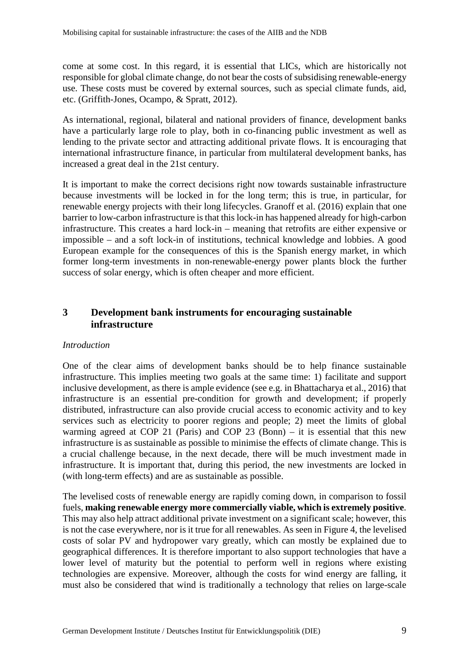come at some cost. In this regard, it is essential that LICs, which are historically not responsible for global climate change, do not bear the costs of subsidising renewable-energy use. These costs must be covered by external sources, such as special climate funds, aid, etc. (Griffith-Jones, Ocampo, & Spratt, 2012).

As international, regional, bilateral and national providers of finance, development banks have a particularly large role to play, both in co-financing public investment as well as lending to the private sector and attracting additional private flows. It is encouraging that international infrastructure finance, in particular from multilateral development banks, has increased a great deal in the 21st century.

It is important to make the correct decisions right now towards sustainable infrastructure because investments will be locked in for the long term; this is true, in particular, for renewable energy projects with their long lifecycles. Granoff et al. (2016) explain that one barrier to low-carbon infrastructure is that this lock-in has happened already for high-carbon infrastructure. This creates a hard lock-in – meaning that retrofits are either expensive or impossible – and a soft lock-in of institutions, technical knowledge and lobbies. A good European example for the consequences of this is the Spanish energy market, in which former long-term investments in non-renewable-energy power plants block the further success of solar energy, which is often cheaper and more efficient.

## **3 Development bank instruments for encouraging sustainable infrastructure**

#### *Introduction*

One of the clear aims of development banks should be to help finance sustainable infrastructure. This implies meeting two goals at the same time: 1) facilitate and support inclusive development, as there is ample evidence (see e.g. in Bhattacharya et al., 2016) that infrastructure is an essential pre-condition for growth and development; if properly distributed, infrastructure can also provide crucial access to economic activity and to key services such as electricity to poorer regions and people; 2) meet the limits of global warming agreed at COP 21 (Paris) and COP 23 (Bonn) – it is essential that this new infrastructure is as sustainable as possible to minimise the effects of climate change. This is a crucial challenge because, in the next decade, there will be much investment made in infrastructure. It is important that, during this period, the new investments are locked in (with long-term effects) and are as sustainable as possible.

The levelised costs of renewable energy are rapidly coming down, in comparison to fossil fuels, **making renewable energy more commercially viable, which is extremely positive**. This may also help attract additional private investment on a significant scale; however, this is not the case everywhere, nor is it true for all renewables. As seen in Figure 4, the levelised costs of solar PV and hydropower vary greatly, which can mostly be explained due to geographical differences. It is therefore important to also support technologies that have a lower level of maturity but the potential to perform well in regions where existing technologies are expensive. Moreover, although the costs for wind energy are falling, it must also be considered that wind is traditionally a technology that relies on large-scale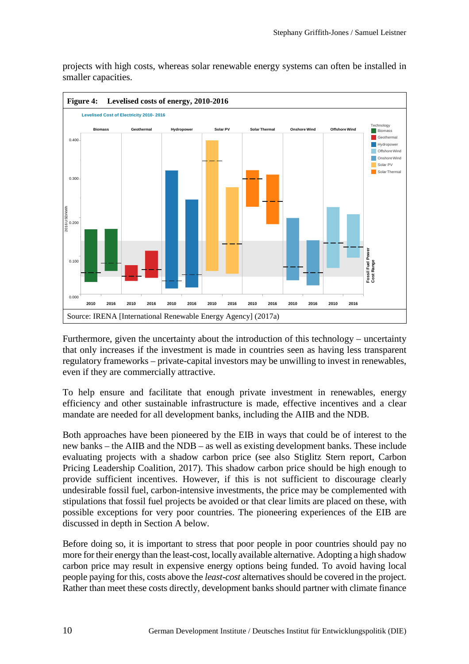

projects with high costs, whereas solar renewable energy systems can often be installed in smaller capacities.

Furthermore, given the uncertainty about the introduction of this technology – uncertainty that only increases if the investment is made in countries seen as having less transparent regulatory frameworks – private-capital investors may be unwilling to invest in renewables, even if they are commercially attractive.

To help ensure and facilitate that enough private investment in renewables, energy efficiency and other sustainable infrastructure is made, effective incentives and a clear mandate are needed for all development banks, including the AIIB and the NDB.

Both approaches have been pioneered by the EIB in ways that could be of interest to the new banks – the AIIB and the NDB – as well as existing development banks. These include evaluating projects with a shadow carbon price (see also Stiglitz Stern report, Carbon Pricing Leadership Coalition, 2017). This shadow carbon price should be high enough to provide sufficient incentives. However, if this is not sufficient to discourage clearly undesirable fossil fuel, carbon-intensive investments, the price may be complemented with stipulations that fossil fuel projects be avoided or that clear limits are placed on these, with possible exceptions for very poor countries. The pioneering experiences of the EIB are discussed in depth in Section A below.

Before doing so, it is important to stress that poor people in poor countries should pay no more for their energy than the least-cost, locally available alternative. Adopting a high shadow carbon price may result in expensive energy options being funded. To avoid having local people paying for this, costs above the *least-cost* alternatives should be covered in the project.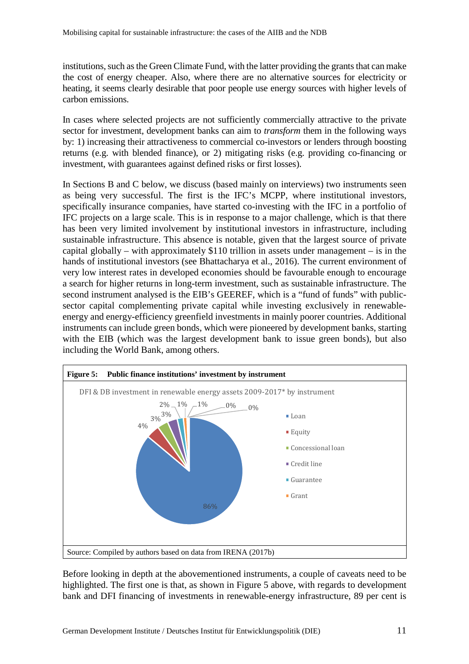institutions, such as the Green Climate Fund, with the latter providing the grants that can make the cost of energy cheaper. Also, where there are no alternative sources for electricity or heating, it seems clearly desirable that poor people use energy sources with higher levels of carbon emissions.

In cases where selected projects are not sufficiently commercially attractive to the private sector for investment, development banks can aim to *transform* them in the following ways by: 1) increasing their attractiveness to commercial co-investors or lenders through boosting returns (e.g. with blended finance), or 2) mitigating risks (e.g. providing co-financing or investment, with guarantees against defined risks or first losses).

In Sections B and C below, we discuss (based mainly on interviews) two instruments seen as being very successful. The first is the IFC's MCPP, where institutional investors, specifically insurance companies, have started co-investing with the IFC in a portfolio of IFC projects on a large scale. This is in response to a major challenge, which is that there has been very limited involvement by institutional investors in infrastructure, including sustainable infrastructure. This absence is notable, given that the largest source of private capital globally – with approximately \$110 trillion in assets under management – is in the hands of institutional investors (see Bhattacharya et al., 2016). The current environment of very low interest rates in developed economies should be favourable enough to encourage a search for higher returns in long-term investment, such as sustainable infrastructure. The second instrument analysed is the EIB's GEEREF, which is a "fund of funds" with publicsector capital complementing private capital while investing exclusively in renewableenergy and energy-efficiency greenfield investments in mainly poorer countries. Additional instruments can include green bonds, which were pioneered by development banks, starting with the EIB (which was the largest development bank to issue green bonds), but also including the World Bank, among others.



Before looking in depth at the abovementioned instruments, a couple of caveats need to be highlighted. The first one is that, as shown in Figure 5 above, with regards to development bank and DFI financing of investments in renewable-energy infrastructure, 89 per cent is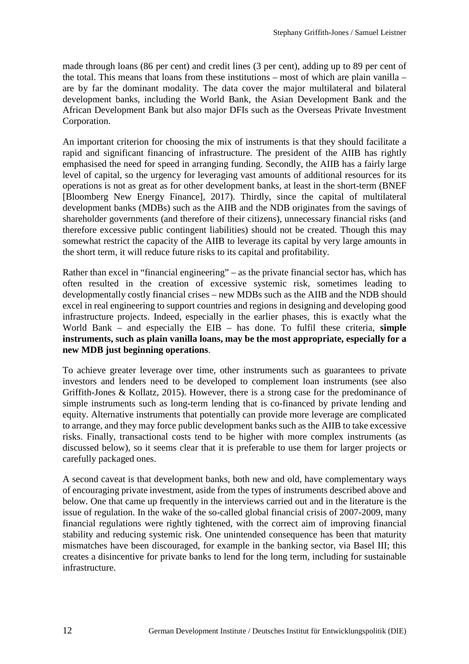made through loans (86 per cent) and credit lines (3 per cent), adding up to 89 per cent of the total. This means that loans from these institutions – most of which are plain vanilla – are by far the dominant modality. The data cover the major multilateral and bilateral development banks, including the World Bank, the Asian Development Bank and the African Development Bank but also major DFIs such as the Overseas Private Investment Corporation.

An important criterion for choosing the mix of instruments is that they should facilitate a rapid and significant financing of infrastructure. The president of the AIIB has rightly emphasised the need for speed in arranging funding. Secondly, the AIIB has a fairly large level of capital, so the urgency for leveraging vast amounts of additional resources for its operations is not as great as for other development banks, at least in the short-term (BNEF [Bloomberg New Energy Finance], 2017). Thirdly, since the capital of multilateral development banks (MDBs) such as the AIIB and the NDB originates from the savings of shareholder governments (and therefore of their citizens), unnecessary financial risks (and therefore excessive public contingent liabilities) should not be created. Though this may somewhat restrict the capacity of the AIIB to leverage its capital by very large amounts in the short term, it will reduce future risks to its capital and profitability.

Rather than excel in "financial engineering" – as the private financial sector has, which has often resulted in the creation of excessive systemic risk, sometimes leading to developmentally costly financial crises – new MDBs such as the AIIB and the NDB should excel in real engineering to support countries and regions in designing and developing good infrastructure projects. Indeed, especially in the earlier phases, this is exactly what the World Bank – and especially the EIB – has done. To fulfil these criteria, **simple instruments, such as plain vanilla loans, may be the most appropriate, especially for a new MDB just beginning operations**.

To achieve greater leverage over time, other instruments such as guarantees to private investors and lenders need to be developed to complement loan instruments (see also Griffith-Jones & Kollatz, 2015). However, there is a strong case for the predominance of simple instruments such as long-term lending that is co-financed by private lending and equity. Alternative instruments that potentially can provide more leverage are complicated to arrange, and they may force public development banks such as the AIIB to take excessive risks. Finally, transactional costs tend to be higher with more complex instruments (as discussed below), so it seems clear that it is preferable to use them for larger projects or carefully packaged ones.

A second caveat is that development banks, both new and old, have complementary ways of encouraging private investment, aside from the types of instruments described above and below. One that came up frequently in the interviews carried out and in the literature is the issue of regulation. In the wake of the so-called global financial crisis of 2007-2009, many financial regulations were rightly tightened, with the correct aim of improving financial stability and reducing systemic risk. One unintended consequence has been that maturity mismatches have been discouraged, for example in the banking sector, via Basel III; this creates a disincentive for private banks to lend for the long term, including for sustainable infrastructure.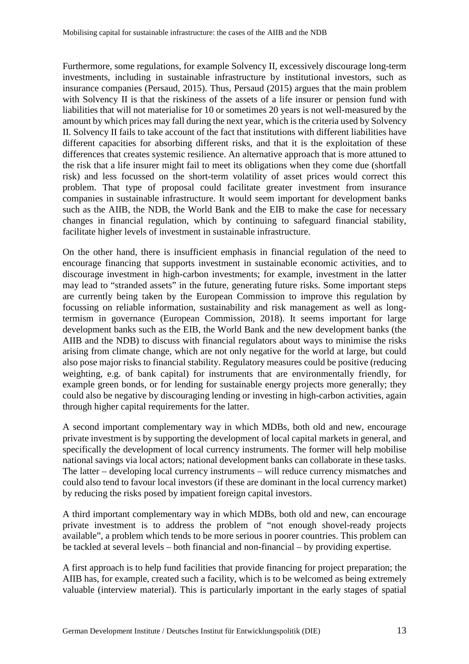Furthermore, some regulations, for example Solvency II, excessively discourage long-term investments, including in sustainable infrastructure by institutional investors, such as insurance companies (Persaud, 2015). Thus, Persaud (2015) argues that the main problem with Solvency II is that the riskiness of the assets of a life insurer or pension fund with liabilities that will not materialise for 10 or sometimes 20 years is not well-measured by the amount by which prices may fall during the next year, which is the criteria used by Solvency II. Solvency II fails to take account of the fact that institutions with different liabilities have different capacities for absorbing different risks, and that it is the exploitation of these differences that creates systemic resilience. An alternative approach that is more attuned to the risk that a life insurer might fail to meet its obligations when they come due (shortfall risk) and less focussed on the short-term volatility of asset prices would correct this problem. That type of proposal could facilitate greater investment from insurance companies in sustainable infrastructure. It would seem important for development banks such as the AIIB, the NDB, the World Bank and the EIB to make the case for necessary changes in financial regulation, which by continuing to safeguard financial stability, facilitate higher levels of investment in sustainable infrastructure.

On the other hand, there is insufficient emphasis in financial regulation of the need to encourage financing that supports investment in sustainable economic activities, and to discourage investment in high-carbon investments; for example, investment in the latter may lead to "stranded assets" in the future, generating future risks. Some important steps are currently being taken by the European Commission to improve this regulation by focussing on reliable information, sustainability and risk management as well as longtermism in governance (European Commission, 2018). It seems important for large development banks such as the EIB, the World Bank and the new development banks (the AIIB and the NDB) to discuss with financial regulators about ways to minimise the risks arising from climate change, which are not only negative for the world at large, but could also pose major risks to financial stability. Regulatory measures could be positive (reducing weighting, e.g. of bank capital) for instruments that are environmentally friendly, for example green bonds, or for lending for sustainable energy projects more generally; they could also be negative by discouraging lending or investing in high-carbon activities, again through higher capital requirements for the latter.

A second important complementary way in which MDBs, both old and new, encourage private investment is by supporting the development of local capital markets in general, and specifically the development of local currency instruments. The former will help mobilise national savings via local actors; national development banks can collaborate in these tasks. The latter – developing local currency instruments – will reduce currency mismatches and could also tend to favour local investors (if these are dominant in the local currency market) by reducing the risks posed by impatient foreign capital investors.

A third important complementary way in which MDBs, both old and new, can encourage private investment is to address the problem of "not enough shovel-ready projects available", a problem which tends to be more serious in poorer countries. This problem can be tackled at several levels – both financial and non-financial – by providing expertise.

A first approach is to help fund facilities that provide financing for project preparation; the AIIB has, for example, created such a facility, which is to be welcomed as being extremely valuable (interview material). This is particularly important in the early stages of spatial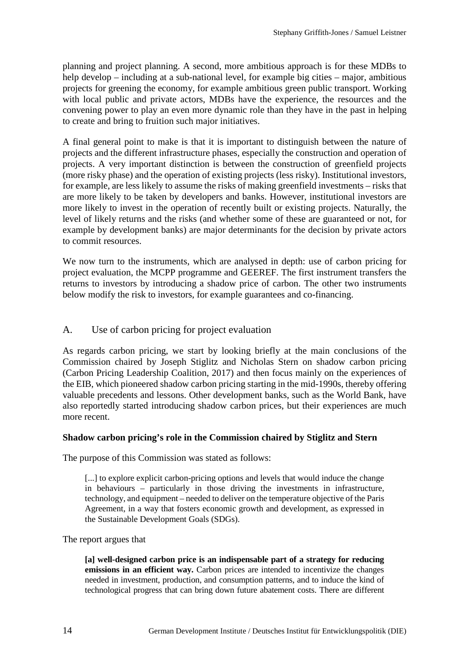planning and project planning. A second, more ambitious approach is for these MDBs to help develop – including at a sub-national level, for example big cities – major, ambitious projects for greening the economy, for example ambitious green public transport. Working with local public and private actors, MDBs have the experience, the resources and the convening power to play an even more dynamic role than they have in the past in helping to create and bring to fruition such major initiatives.

A final general point to make is that it is important to distinguish between the nature of projects and the different infrastructure phases, especially the construction and operation of projects. A very important distinction is between the construction of greenfield projects (more risky phase) and the operation of existing projects (less risky). Institutional investors, for example, are less likely to assume the risks of making greenfield investments – risks that are more likely to be taken by developers and banks. However, institutional investors are more likely to invest in the operation of recently built or existing projects. Naturally, the level of likely returns and the risks (and whether some of these are guaranteed or not, for example by development banks) are major determinants for the decision by private actors to commit resources.

We now turn to the instruments, which are analysed in depth: use of carbon pricing for project evaluation, the MCPP programme and GEEREF. The first instrument transfers the returns to investors by introducing a shadow price of carbon. The other two instruments below modify the risk to investors, for example guarantees and co-financing.

### A. Use of carbon pricing for project evaluation

As regards carbon pricing, we start by looking briefly at the main conclusions of the Commission chaired by Joseph Stiglitz and Nicholas Stern on shadow carbon pricing (Carbon Pricing Leadership Coalition, 2017) and then focus mainly on the experiences of the EIB, which pioneered shadow carbon pricing starting in the mid-1990s, thereby offering valuable precedents and lessons. Other development banks, such as the World Bank, have also reportedly started introducing shadow carbon prices, but their experiences are much more recent.

#### **Shadow carbon pricing's role in the Commission chaired by Stiglitz and Stern**

The purpose of this Commission was stated as follows:

[...] to explore explicit carbon-pricing options and levels that would induce the change in behaviours – particularly in those driving the investments in infrastructure, technology, and equipment – needed to deliver on the temperature objective of the Paris Agreement, in a way that fosters economic growth and development, as expressed in the Sustainable Development Goals (SDGs).

#### The report argues that

**[a] well-designed carbon price is an indispensable part of a strategy for reducing emissions in an efficient way.** Carbon prices are intended to incentivize the changes needed in investment, production, and consumption patterns, and to induce the kind of technological progress that can bring down future abatement costs. There are different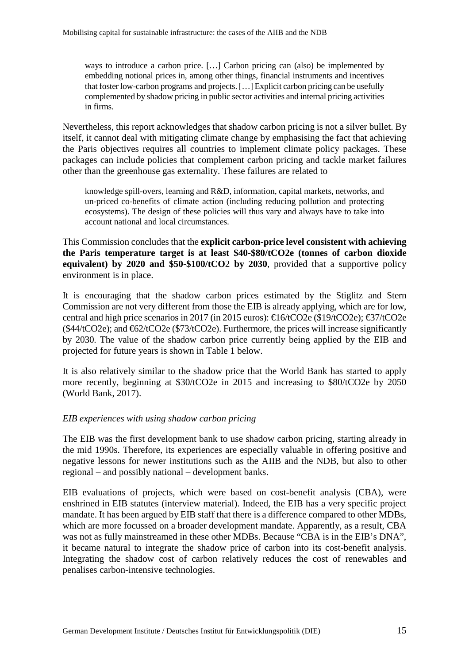ways to introduce a carbon price. [...] Carbon pricing can (also) be implemented by embedding notional prices in, among other things, financial instruments and incentives that foster low-carbon programs and projects. […] Explicit carbon pricing can be usefully complemented by shadow pricing in public sector activities and internal pricing activities in firms.

Nevertheless, this report acknowledges that shadow carbon pricing is not a silver bullet. By itself, it cannot deal with mitigating climate change by emphasising the fact that achieving the Paris objectives requires all countries to implement climate policy packages. These packages can include policies that complement carbon pricing and tackle market failures other than the greenhouse gas externality. These failures are related to

knowledge spill-overs, learning and R&D, information, capital markets, networks, and un-priced co-benefits of climate action (including reducing pollution and protecting ecosystems). The design of these policies will thus vary and always have to take into account national and local circumstances.

This Commission concludes that the **explicit carbon-price level consistent with achieving the Paris temperature target is at least \$40-\$80/tCO2e (tonnes of carbon dioxide equivalent) by 2020 and \$50-\$100/tCO**2 **by 2030**, provided that a supportive policy environment is in place.

It is encouraging that the shadow carbon prices estimated by the Stiglitz and Stern Commission are not very different from those the EIB is already applying, which are for low, central and high price scenarios in 2017 (in 2015 euros): €16/tCO2e (\$19/tCO2e); €37/tCO2e  $($44/tCO2e)$ ; and  $62/tCO2e$   $$73/tCO2e$ ). Furthermore, the prices will increase significantly by 2030. The value of the shadow carbon price currently being applied by the EIB and projected for future years is shown in Table 1 below.

It is also relatively similar to the shadow price that the World Bank has started to apply more recently, beginning at \$30/tCO2e in 2015 and increasing to \$80/tCO2e by 2050 (World Bank, 2017).

#### *EIB experiences with using shadow carbon pricing*

The EIB was the first development bank to use shadow carbon pricing, starting already in the mid 1990s. Therefore, its experiences are especially valuable in offering positive and negative lessons for newer institutions such as the AIIB and the NDB, but also to other regional – and possibly national – development banks.

EIB evaluations of projects, which were based on cost-benefit analysis (CBA), were enshrined in EIB statutes (interview material). Indeed, the EIB has a very specific project mandate. It has been argued by EIB staff that there is a difference compared to other MDBs, which are more focussed on a broader development mandate. Apparently, as a result, CBA was not as fully mainstreamed in these other MDBs. Because "CBA is in the EIB's DNA", it became natural to integrate the shadow price of carbon into its cost-benefit analysis. Integrating the shadow cost of carbon relatively reduces the cost of renewables and penalises carbon-intensive technologies.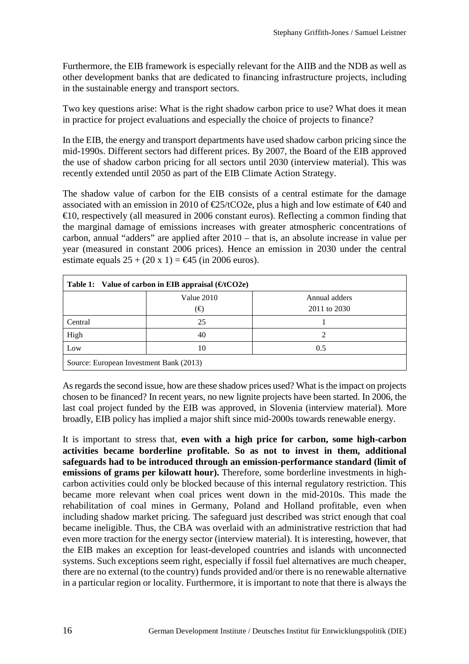Furthermore, the EIB framework is especially relevant for the AIIB and the NDB as well as other development banks that are dedicated to financing infrastructure projects, including in the sustainable energy and transport sectors.

Two key questions arise: What is the right shadow carbon price to use? What does it mean in practice for project evaluations and especially the choice of projects to finance?

In the EIB, the energy and transport departments have used shadow carbon pricing since the mid-1990s. Different sectors had different prices. By 2007, the Board of the EIB approved the use of shadow carbon pricing for all sectors until 2030 (interview material). This was recently extended until 2050 as part of the EIB Climate Action Strategy.

The shadow value of carbon for the EIB consists of a central estimate for the damage associated with an emission in 2010 of  $\epsilon$ 25/tCO2e, plus a high and low estimate of  $\epsilon$ 40 and €10, respectively (all measured in 2006 constant euros). Reflecting a common finding that the marginal damage of emissions increases with greater atmospheric concentrations of carbon, annual "adders" are applied after 2010 – that is, an absolute increase in value per year (measured in constant 2006 prices). Hence an emission in 2030 under the central estimate equals  $25 + (20 \times 1) = 45$  (in 2006 euros).

| Table 1: Value of carbon in EIB appraisal $(\text{CtCO2e})$ |            |                               |  |  |  |  |  |
|-------------------------------------------------------------|------------|-------------------------------|--|--|--|--|--|
|                                                             | Value 2010 | Annual adders<br>2011 to 2030 |  |  |  |  |  |
| Central                                                     | (€)<br>25  |                               |  |  |  |  |  |
|                                                             | 40         | $\mathcal{D}_{\mathcal{A}}$   |  |  |  |  |  |
| High<br>Low                                                 |            |                               |  |  |  |  |  |
| 10<br>0.5                                                   |            |                               |  |  |  |  |  |
| Source: European Investment Bank (2013)                     |            |                               |  |  |  |  |  |

As regards the second issue, how are these shadow prices used? What is the impact on projects chosen to be financed? In recent years, no new lignite projects have been started. In 2006, the last coal project funded by the EIB was approved, in Slovenia (interview material). More broadly, EIB policy has implied a major shift since mid-2000s towards renewable energy.

It is important to stress that, **even with a high price for carbon, some high-carbon activities became borderline profitable. So as not to invest in them, additional safeguards had to be introduced through an emission-performance standard (limit of emissions of grams per kilowatt hour).** Therefore, some borderline investments in highcarbon activities could only be blocked because of this internal regulatory restriction. This became more relevant when coal prices went down in the mid-2010s. This made the rehabilitation of coal mines in Germany, Poland and Holland profitable, even when including shadow market pricing. The safeguard just described was strict enough that coal became ineligible. Thus, the CBA was overlaid with an administrative restriction that had even more traction for the energy sector (interview material). It is interesting, however, that the EIB makes an exception for least-developed countries and islands with unconnected systems. Such exceptions seem right, especially if fossil fuel alternatives are much cheaper, there are no external (to the country) funds provided and/or there is no renewable alternative in a particular region or locality. Furthermore, it is important to note that there is always the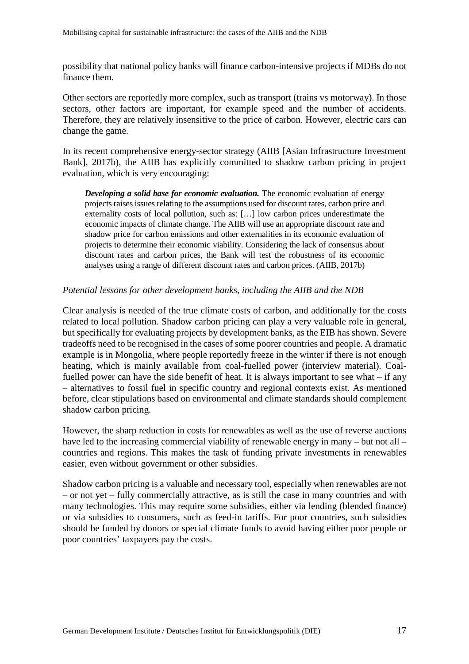possibility that national policy banks will finance carbon-intensive projects if MDBs do not finance them.

Other sectors are reportedly more complex, such as transport (trains vs motorway). In those sectors, other factors are important, for example speed and the number of accidents. Therefore, they are relatively insensitive to the price of carbon. However, electric cars can change the game.

In its recent comprehensive energy-sector strategy (AIIB [Asian Infrastructure Investment Bank], 2017b), the AIIB has explicitly committed to shadow carbon pricing in project evaluation, which is very encouraging:

*Developing a solid base for economic evaluation.* The economic evaluation of energy projects raises issues relating to the assumptions used for discount rates, carbon price and externality costs of local pollution, such as: […] low carbon prices underestimate the economic impacts of climate change. The AIIB will use an appropriate discount rate and shadow price for carbon emissions and other externalities in its economic evaluation of projects to determine their economic viability. Considering the lack of consensus about discount rates and carbon prices, the Bank will test the robustness of its economic analyses using a range of different discount rates and carbon prices. (AIIB, 2017b)

#### *Potential lessons for other development banks, including the AIIB and the NDB*

Clear analysis is needed of the true climate costs of carbon, and additionally for the costs related to local pollution. Shadow carbon pricing can play a very valuable role in general, but specifically for evaluating projects by development banks, as the EIB has shown. Severe tradeoffs need to be recognised in the cases of some poorer countries and people. A dramatic example is in Mongolia, where people reportedly freeze in the winter if there is not enough heating, which is mainly available from coal-fuelled power (interview material). Coalfuelled power can have the side benefit of heat. It is always important to see what – if any – alternatives to fossil fuel in specific country and regional contexts exist. As mentioned before, clear stipulations based on environmental and climate standards should complement shadow carbon pricing.

However, the sharp reduction in costs for renewables as well as the use of reverse auctions have led to the increasing commercial viability of renewable energy in many – but not all – countries and regions. This makes the task of funding private investments in renewables easier, even without government or other subsidies.

Shadow carbon pricing is a valuable and necessary tool, especially when renewables are not – or not yet – fully commercially attractive, as is still the case in many countries and with many technologies. This may require some subsidies, either via lending (blended finance) or via subsidies to consumers, such as feed-in tariffs. For poor countries, such subsidies should be funded by donors or special climate funds to avoid having either poor people or poor countries' taxpayers pay the costs.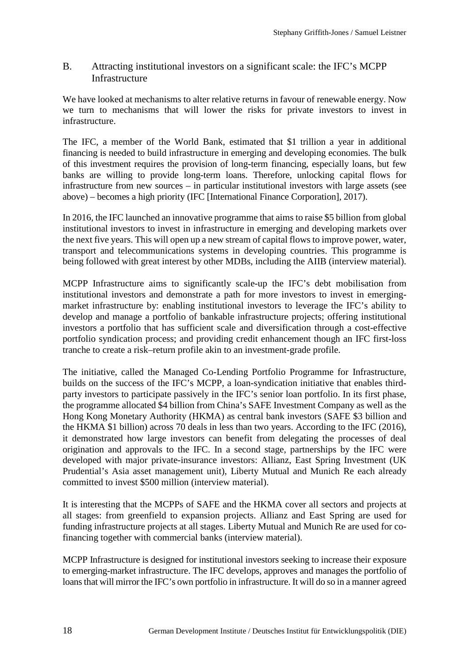## B. Attracting institutional investors on a significant scale: the IFC's MCPP **Infrastructure**

We have looked at mechanisms to alter relative returns in favour of renewable energy. Now we turn to mechanisms that will lower the risks for private investors to invest in infrastructure.

The IFC, a member of the World Bank, estimated that \$1 trillion a year in additional financing is needed to build infrastructure in emerging and developing economies. The bulk of this investment requires the provision of long-term financing, especially loans, but few banks are willing to provide long-term loans. Therefore, unlocking capital flows for infrastructure from new sources – in particular institutional investors with large assets (see above) – becomes a high priority (IFC [International Finance Corporation], 2017).

In 2016, the IFC launched an innovative programme that aims to raise \$5 billion from global institutional investors to invest in infrastructure in emerging and developing markets over the next five years. This will open up a new stream of capital flows to improve power, water, transport and telecommunications systems in developing countries. This programme is being followed with great interest by other MDBs, including the AIIB (interview material).

MCPP Infrastructure aims to significantly scale-up the IFC's debt mobilisation from institutional investors and demonstrate a path for more investors to invest in emergingmarket infrastructure by: enabling institutional investors to leverage the IFC's ability to develop and manage a portfolio of bankable infrastructure projects; offering institutional investors a portfolio that has sufficient scale and diversification through a cost-effective portfolio syndication process; and providing credit enhancement though an IFC first-loss tranche to create a risk–return profile akin to an investment-grade profile.

The initiative, called the Managed Co-Lending Portfolio Programme for Infrastructure, builds on the success of the IFC's MCPP, a loan-syndication initiative that enables thirdparty investors to participate passively in the IFC's senior loan portfolio. In its first phase, the programme allocated \$4 billion from China's SAFE Investment Company as well as the Hong Kong Monetary Authority (HKMA) as central bank investors (SAFE \$3 billion and the HKMA \$1 billion) across 70 deals in less than two years. According to the IFC (2016), it demonstrated how large investors can benefit from delegating the processes of deal origination and approvals to the IFC. In a second stage, partnerships by the IFC were developed with major private-insurance investors: Allianz, East Spring Investment (UK Prudential's Asia asset management unit), Liberty Mutual and Munich Re each already committed to invest \$500 million (interview material).

It is interesting that the MCPPs of SAFE and the HKMA cover all sectors and projects at all stages: from greenfield to expansion projects. Allianz and East Spring are used for funding infrastructure projects at all stages. Liberty Mutual and Munich Re are used for cofinancing together with commercial banks (interview material).

MCPP Infrastructure is designed for institutional investors seeking to increase their exposure to emerging-market infrastructure. The IFC develops, approves and manages the portfolio of loans that will mirror the IFC's own portfolio in infrastructure. It will do so in a manner agreed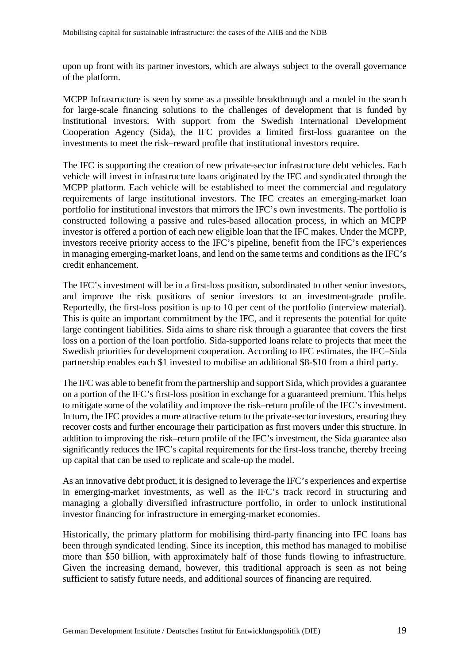upon up front with its partner investors, which are always subject to the overall governance of the platform.

MCPP Infrastructure is seen by some as a possible breakthrough and a model in the search for large-scale financing solutions to the challenges of development that is funded by institutional investors. With support from the Swedish International Development Cooperation Agency (Sida), the IFC provides a limited first-loss guarantee on the investments to meet the risk–reward profile that institutional investors require.

The IFC is supporting the creation of new private-sector infrastructure debt vehicles. Each vehicle will invest in infrastructure loans originated by the IFC and syndicated through the MCPP platform. Each vehicle will be established to meet the commercial and regulatory requirements of large institutional investors. The IFC creates an emerging-market loan portfolio for institutional investors that mirrors the IFC's own investments. The portfolio is constructed following a passive and rules-based allocation process, in which an MCPP investor is offered a portion of each new eligible loan that the IFC makes. Under the MCPP, investors receive priority access to the IFC's pipeline, benefit from the IFC's experiences in managing emerging-market loans, and lend on the same terms and conditions as the IFC's credit enhancement.

The IFC's investment will be in a first-loss position, subordinated to other senior investors, and improve the risk positions of senior investors to an investment-grade profile. Reportedly, the first-loss position is up to 10 per cent of the portfolio (interview material). This is quite an important commitment by the IFC, and it represents the potential for quite large contingent liabilities. Sida aims to share risk through a guarantee that covers the first loss on a portion of the loan portfolio. Sida-supported loans relate to projects that meet the Swedish priorities for development cooperation. According to IFC estimates, the IFC–Sida partnership enables each \$1 invested to mobilise an additional \$8-\$10 from a third party.

The IFC was able to benefit from the partnership and support Sida, which provides a guarantee on a portion of the IFC's first-loss position in exchange for a guaranteed premium. This helps to mitigate some of the volatility and improve the risk–return profile of the IFC's investment. In turn, the IFC provides a more attractive return to the private-sector investors, ensuring they recover costs and further encourage their participation as first movers under this structure. In addition to improving the risk–return profile of the IFC's investment, the Sida guarantee also significantly reduces the IFC's capital requirements for the first-loss tranche, thereby freeing up capital that can be used to replicate and scale-up the model.

As an innovative debt product, it is designed to leverage the IFC's experiences and expertise in emerging-market investments, as well as the IFC's track record in structuring and managing a globally diversified infrastructure portfolio, in order to unlock institutional investor financing for infrastructure in emerging-market economies.

Historically, the primary platform for mobilising third-party financing into IFC loans has been through syndicated lending. Since its inception, this method has managed to mobilise more than \$50 billion, with approximately half of those funds flowing to infrastructure. Given the increasing demand, however, this traditional approach is seen as not being sufficient to satisfy future needs, and additional sources of financing are required.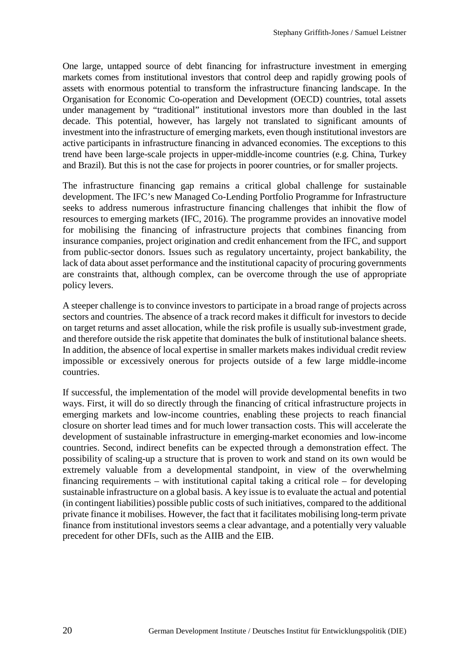One large, untapped source of debt financing for infrastructure investment in emerging markets comes from institutional investors that control deep and rapidly growing pools of assets with enormous potential to transform the infrastructure financing landscape. In the Organisation for Economic Co-operation and Development (OECD) countries, total assets under management by "traditional" institutional investors more than doubled in the last decade. This potential, however, has largely not translated to significant amounts of investment into the infrastructure of emerging markets, even though institutional investors are active participants in infrastructure financing in advanced economies. The exceptions to this trend have been large-scale projects in upper-middle-income countries (e.g. China, Turkey and Brazil). But this is not the case for projects in poorer countries, or for smaller projects.

The infrastructure financing gap remains a critical global challenge for sustainable development. The IFC's new Managed Co-Lending Portfolio Programme for Infrastructure seeks to address numerous infrastructure financing challenges that inhibit the flow of resources to emerging markets (IFC, 2016). The programme provides an innovative model for mobilising the financing of infrastructure projects that combines financing from insurance companies, project origination and credit enhancement from the IFC, and support from public-sector donors. Issues such as regulatory uncertainty, project bankability, the lack of data about asset performance and the institutional capacity of procuring governments are constraints that, although complex, can be overcome through the use of appropriate policy levers.

A steeper challenge is to convince investors to participate in a broad range of projects across sectors and countries. The absence of a track record makes it difficult for investors to decide on target returns and asset allocation, while the risk profile is usually sub-investment grade, and therefore outside the risk appetite that dominates the bulk of institutional balance sheets. In addition, the absence of local expertise in smaller markets makes individual credit review impossible or excessively onerous for projects outside of a few large middle-income countries.

If successful, the implementation of the model will provide developmental benefits in two ways. First, it will do so directly through the financing of critical infrastructure projects in emerging markets and low-income countries, enabling these projects to reach financial closure on shorter lead times and for much lower transaction costs. This will accelerate the development of sustainable infrastructure in emerging-market economies and low-income countries. Second, indirect benefits can be expected through a demonstration effect. The possibility of scaling-up a structure that is proven to work and stand on its own would be extremely valuable from a developmental standpoint, in view of the overwhelming financing requirements – with institutional capital taking a critical role – for developing sustainable infrastructure on a global basis. A key issue is to evaluate the actual and potential (in contingent liabilities) possible public costs of such initiatives, compared to the additional private finance it mobilises. However, the fact that it facilitates mobilising long-term private finance from institutional investors seems a clear advantage, and a potentially very valuable precedent for other DFIs, such as the AIIB and the EIB.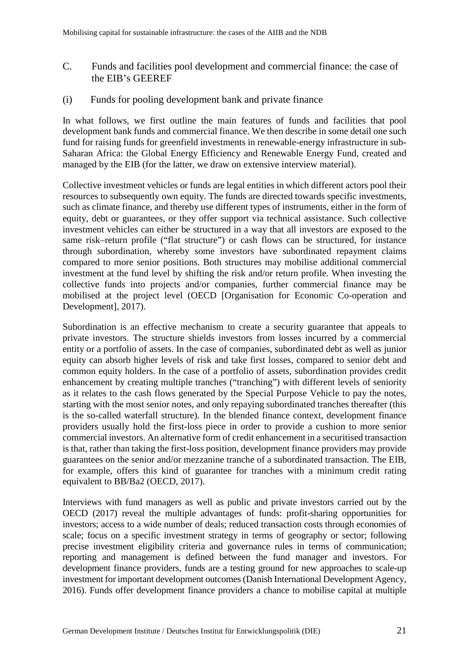- C. Funds and facilities pool development and commercial finance: the case of the EIB's GEEREF
- (i) Funds for pooling development bank and private finance

In what follows, we first outline the main features of funds and facilities that pool development bank funds and commercial finance. We then describe in some detail one such fund for raising funds for greenfield investments in renewable-energy infrastructure in sub-Saharan Africa: the Global Energy Efficiency and Renewable Energy Fund, created and managed by the EIB (for the latter, we draw on extensive interview material).

Collective investment vehicles or funds are legal entities in which different actors pool their resources to subsequently own equity. The funds are directed towards specific investments, such as climate finance, and thereby use different types of instruments, either in the form of equity, debt or guarantees, or they offer support via technical assistance. Such collective investment vehicles can either be structured in a way that all investors are exposed to the same risk–return profile ("flat structure") or cash flows can be structured, for instance through subordination, whereby some investors have subordinated repayment claims compared to more senior positions. Both structures may mobilise additional commercial investment at the fund level by shifting the risk and/or return profile. When investing the collective funds into projects and/or companies, further commercial finance may be mobilised at the project level (OECD [Organisation for Economic Co-operation and Development], 2017).

Subordination is an effective mechanism to create a security guarantee that appeals to private investors. The structure shields investors from losses incurred by a commercial entity or a portfolio of assets. In the case of companies, subordinated debt as well as junior equity can absorb higher levels of risk and take first losses, compared to senior debt and common equity holders. In the case of a portfolio of assets, subordination provides credit enhancement by creating multiple tranches ("tranching") with different levels of seniority as it relates to the cash flows generated by the Special Purpose Vehicle to pay the notes, starting with the most senior notes, and only repaying subordinated tranches thereafter (this is the so-called waterfall structure). In the blended finance context, development finance providers usually hold the first-loss piece in order to provide a cushion to more senior commercial investors. An alternative form of credit enhancement in a securitised transaction is that, rather than taking the first-loss position, development finance providers may provide guarantees on the senior and/or mezzanine tranche of a subordinated transaction. The EIB, for example, offers this kind of guarantee for tranches with a minimum credit rating equivalent to BB/Ba2 (OECD, 2017).

Interviews with fund managers as well as public and private investors carried out by the OECD (2017) reveal the multiple advantages of funds: profit-sharing opportunities for investors; access to a wide number of deals; reduced transaction costs through economies of scale; focus on a specific investment strategy in terms of geography or sector; following precise investment eligibility criteria and governance rules in terms of communication; reporting and management is defined between the fund manager and investors. For development finance providers, funds are a testing ground for new approaches to scale-up investment for important development outcomes (Danish International Development Agency, 2016). Funds offer development finance providers a chance to mobilise capital at multiple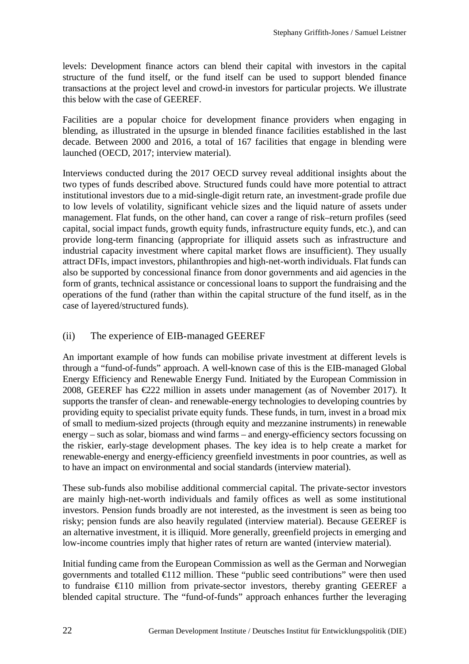levels: Development finance actors can blend their capital with investors in the capital structure of the fund itself, or the fund itself can be used to support blended finance transactions at the project level and crowd-in investors for particular projects. We illustrate this below with the case of GEEREF.

Facilities are a popular choice for development finance providers when engaging in blending, as illustrated in the upsurge in blended finance facilities established in the last decade. Between 2000 and 2016, a total of 167 facilities that engage in blending were launched (OECD, 2017; interview material).

Interviews conducted during the 2017 OECD survey reveal additional insights about the two types of funds described above. Structured funds could have more potential to attract institutional investors due to a mid-single-digit return rate, an investment-grade profile due to low levels of volatility, significant vehicle sizes and the liquid nature of assets under management. Flat funds, on the other hand, can cover a range of risk–return profiles (seed capital, social impact funds, growth equity funds, infrastructure equity funds, etc.), and can provide long-term financing (appropriate for illiquid assets such as infrastructure and industrial capacity investment where capital market flows are insufficient). They usually attract DFIs, impact investors, philanthropies and high-net-worth individuals. Flat funds can also be supported by concessional finance from donor governments and aid agencies in the form of grants, technical assistance or concessional loans to support the fundraising and the operations of the fund (rather than within the capital structure of the fund itself, as in the case of layered/structured funds).

## (ii) The experience of EIB-managed GEEREF

An important example of how funds can mobilise private investment at different levels is through a "fund-of-funds" approach. A well-known case of this is the EIB-managed Global Energy Efficiency and Renewable Energy Fund. Initiated by the European Commission in 2008, GEEREF has €222 million in assets under management (as of November 2017). It supports the transfer of clean- and renewable-energy technologies to developing countries by providing equity to specialist private equity funds. These funds, in turn, invest in a broad mix of small to medium-sized projects (through equity and mezzanine instruments) in renewable energy – such as solar, biomass and wind farms – and energy-efficiency sectors focussing on the riskier, early-stage development phases. The key idea is to help create a market for renewable-energy and energy-efficiency greenfield investments in poor countries, as well as to have an impact on environmental and social standards (interview material).

These sub-funds also mobilise additional commercial capital. The private-sector investors are mainly high-net-worth individuals and family offices as well as some institutional investors. Pension funds broadly are not interested, as the investment is seen as being too risky; pension funds are also heavily regulated (interview material). Because GEEREF is an alternative investment, it is illiquid. More generally, greenfield projects in emerging and low-income countries imply that higher rates of return are wanted (interview material).

Initial funding came from the European Commission as well as the German and Norwegian governments and totalled €112 million. These "public seed contributions" were then used to fundraise  $\in$  10 million from private-sector investors, thereby granting GEEREF a blended capital structure. The "fund-of-funds" approach enhances further the leveraging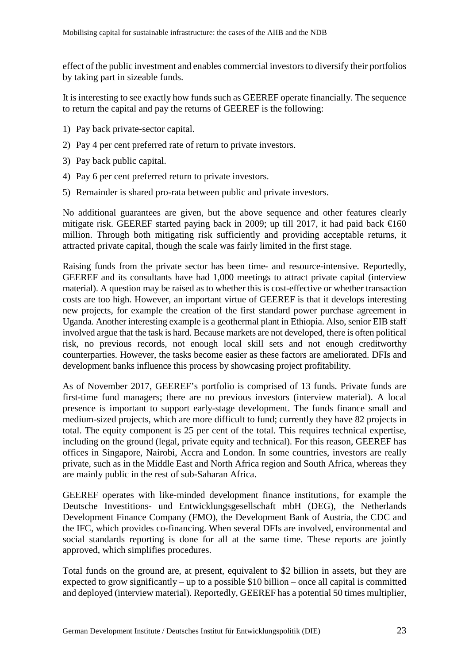effect of the public investment and enables commercial investors to diversify their portfolios by taking part in sizeable funds.

It is interesting to see exactly how funds such as GEEREF operate financially. The sequence to return the capital and pay the returns of GEEREF is the following:

- 1) Pay back private-sector capital.
- 2) Pay 4 per cent preferred rate of return to private investors.
- 3) Pay back public capital.
- 4) Pay 6 per cent preferred return to private investors.
- 5) Remainder is shared pro-rata between public and private investors.

No additional guarantees are given, but the above sequence and other features clearly mitigate risk. GEEREF started paying back in 2009; up till 2017, it had paid back  $\epsilon$ 160 million. Through both mitigating risk sufficiently and providing acceptable returns, it attracted private capital, though the scale was fairly limited in the first stage.

Raising funds from the private sector has been time- and resource-intensive. Reportedly, GEEREF and its consultants have had 1,000 meetings to attract private capital (interview material). A question may be raised as to whether this is cost-effective or whether transaction costs are too high. However, an important virtue of GEEREF is that it develops interesting new projects, for example the creation of the first standard power purchase agreement in Uganda. Another interesting example is a geothermal plant in Ethiopia. Also, senior EIB staff involved argue that the task is hard. Because markets are not developed, there is often political risk, no previous records, not enough local skill sets and not enough creditworthy counterparties. However, the tasks become easier as these factors are ameliorated. DFIs and development banks influence this process by showcasing project profitability.

As of November 2017, GEEREF's portfolio is comprised of 13 funds. Private funds are first-time fund managers; there are no previous investors (interview material). A local presence is important to support early-stage development. The funds finance small and medium-sized projects, which are more difficult to fund; currently they have 82 projects in total. The equity component is 25 per cent of the total. This requires technical expertise, including on the ground (legal, private equity and technical). For this reason, GEEREF has offices in Singapore, Nairobi, Accra and London. In some countries, investors are really private, such as in the Middle East and North Africa region and South Africa, whereas they are mainly public in the rest of sub-Saharan Africa.

GEEREF operates with like-minded development finance institutions, for example the Deutsche Investitions- und Entwicklungsgesellschaft mbH (DEG), the Netherlands Development Finance Company (FMO), the Development Bank of Austria, the CDC and the IFC, which provides co-financing. When several DFIs are involved, environmental and social standards reporting is done for all at the same time. These reports are jointly approved, which simplifies procedures.

Total funds on the ground are, at present, equivalent to \$2 billion in assets, but they are expected to grow significantly – up to a possible \$10 billion – once all capital is committed and deployed (interview material). Reportedly, GEEREF has a potential 50 times multiplier,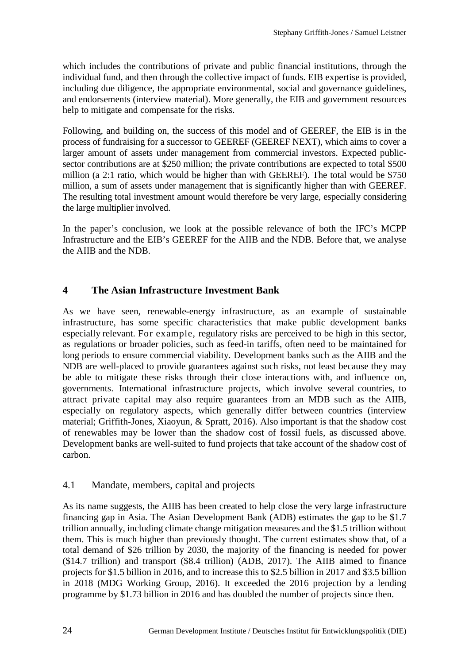which includes the contributions of private and public financial institutions, through the individual fund, and then through the collective impact of funds. EIB expertise is provided, including due diligence, the appropriate environmental, social and governance guidelines, and endorsements (interview material). More generally, the EIB and government resources help to mitigate and compensate for the risks.

Following, and building on, the success of this model and of GEEREF, the EIB is in the process of fundraising for a successor to GEEREF (GEEREF NEXT), which aims to cover a larger amount of assets under management from commercial investors. Expected publicsector contributions are at \$250 million; the private contributions are expected to total \$500 million (a 2:1 ratio, which would be higher than with GEEREF). The total would be \$750 million, a sum of assets under management that is significantly higher than with GEEREF. The resulting total investment amount would therefore be very large, especially considering the large multiplier involved.

In the paper's conclusion, we look at the possible relevance of both the IFC's MCPP Infrastructure and the EIB's GEEREF for the AIIB and the NDB. Before that, we analyse the AIIB and the NDB.

## **4 The Asian Infrastructure Investment Bank**

As we have seen, renewable-energy infrastructure, as an example of sustainable infrastructure, has some specific characteristics that make public development banks especially relevant. For example, regulatory risks are perceived to be high in this sector, as regulations or broader policies, such as feed-in tariffs, often need to be maintained for long periods to ensure commercial viability. Development banks such as the AIIB and the NDB are well-placed to provide guarantees against such risks, not least because they may be able to mitigate these risks through their close interactions with, and influence on, governments. International infrastructure projects, which involve several countries, to attract private capital may also require guarantees from an MDB such as the AIIB, especially on regulatory aspects, which generally differ between countries (interview material; Griffith-Jones, Xiaoyun, & Spratt, 2016). Also important is that the shadow cost of renewables may be lower than the shadow cost of fossil fuels, as discussed above. Development banks are well-suited to fund projects that take account of the shadow cost of carbon.

## 4.1 Mandate, members, capital and projects

As its name suggests, the AIIB has been created to help close the very large infrastructure financing gap in Asia. The Asian Development Bank (ADB) estimates the gap to be \$1.7 trillion annually, including climate change mitigation measures and the \$1.5 trillion without them. This is much higher than previously thought. The current estimates show that, of a total demand of \$26 trillion by 2030, the majority of the financing is needed for power (\$14.7 trillion) and transport (\$8.4 trillion) (ADB, 2017). The AIIB aimed to finance projects for \$1.5 billion in 2016, and to increase this to \$2.5 billion in 2017 and \$3.5 billion in 2018 (MDG Working Group, 2016). It exceeded the 2016 projection by a lending programme by \$1.73 billion in 2016 and has doubled the number of projects since then.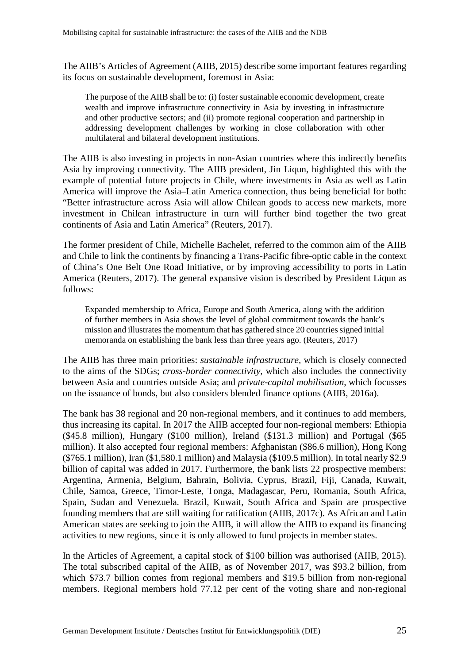The AIIB's Articles of Agreement (AIIB, 2015) describe some important features regarding its focus on sustainable development, foremost in Asia:

The purpose of the AIIB shall be to: (i) foster sustainable economic development, create wealth and improve infrastructure connectivity in Asia by investing in infrastructure and other productive sectors; and (ii) promote regional cooperation and partnership in addressing development challenges by working in close collaboration with other multilateral and bilateral development institutions.

The AIIB is also investing in projects in non-Asian countries where this indirectly benefits Asia by improving connectivity. The AIIB president, Jin Liqun, highlighted this with the example of potential future projects in Chile, where investments in Asia as well as Latin America will improve the Asia–Latin America connection, thus being beneficial for both: "Better infrastructure across Asia will allow Chilean goods to access new markets, more investment in Chilean infrastructure in turn will further bind together the two great continents of Asia and Latin America" (Reuters, 2017).

The former president of Chile, Michelle Bachelet, referred to the common aim of the AIIB and Chile to link the continents by financing a Trans-Pacific fibre-optic cable in the context of China's One Belt One Road Initiative, or by improving accessibility to ports in Latin America (Reuters, 2017). The general expansive vision is described by President Liqun as follows:

Expanded membership to Africa, Europe and South America, along with the addition of further members in Asia shows the level of global commitment towards the bank's mission and illustrates the momentum that has gathered since 20 countries signed initial memoranda on establishing the bank less than three years ago. (Reuters, 2017)

The AIIB has three main priorities: *sustainable infrastructure,* which is closely connected to the aims of the SDGs; *cross-border connectivity,* which also includes the connectivity between Asia and countries outside Asia; and *private-capital mobilisation*, which focusses on the issuance of bonds, but also considers blended finance options (AIIB, 2016a).

The bank has 38 regional and 20 non-regional members, and it continues to add members, thus increasing its capital. In 2017 the AIIB accepted four non-regional members: Ethiopia (\$45.8 million), Hungary (\$100 million), Ireland (\$131.3 million) and Portugal (\$65 million). It also accepted four regional members: Afghanistan (\$86.6 million), Hong Kong (\$765.1 million), Iran (\$1,580.1 million) and Malaysia (\$109.5 million). In total nearly \$2.9 billion of capital was added in 2017. Furthermore, the bank lists 22 prospective members: Argentina, Armenia, Belgium, Bahrain, Bolivia, Cyprus, Brazil, Fiji, Canada, Kuwait, Chile, Samoa, Greece, Timor-Leste, Tonga, Madagascar, Peru, Romania, South Africa, Spain, Sudan and Venezuela. Brazil, Kuwait, South Africa and Spain are prospective founding members that are still waiting for ratification (AIIB, 2017c). As African and Latin American states are seeking to join the AIIB, it will allow the AIIB to expand its financing activities to new regions, since it is only allowed to fund projects in member states.

In the Articles of Agreement, a capital stock of \$100 billion was authorised (AIIB, 2015). The total subscribed capital of the AIIB, as of November 2017, was \$93.2 billion, from which \$73.7 billion comes from regional members and \$19.5 billion from non-regional members. Regional members hold 77.12 per cent of the voting share and non-regional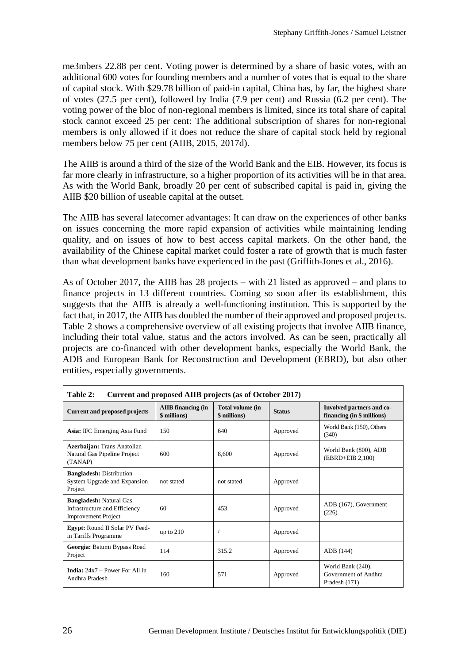me3mbers 22.88 per cent. Voting power is determined by a share of basic votes, with an additional 600 votes for founding members and a number of votes that is equal to the share of capital stock. With \$29.78 billion of paid-in capital, China has, by far, the highest share of votes (27.5 per cent), followed by India (7.9 per cent) and Russia (6.2 per cent). The voting power of the bloc of non-regional members is limited, since its total share of capital stock cannot exceed 25 per cent: The additional subscription of shares for non-regional members is only allowed if it does not reduce the share of capital stock held by regional members below 75 per cent (AIIB, 2015, 2017d).

The AIIB is around a third of the size of the World Bank and the EIB. However, its focus is far more clearly in infrastructure, so a higher proportion of its activities will be in that area. As with the World Bank, broadly 20 per cent of subscribed capital is paid in, giving the AIIB \$20 billion of useable capital at the outset.

The AIIB has several latecomer advantages: It can draw on the experiences of other banks on issues concerning the more rapid expansion of activities while maintaining lending quality, and on issues of how to best access capital markets. On the other hand, the availability of the Chinese capital market could foster a rate of growth that is much faster than what development banks have experienced in the past (Griffith-Jones et al., 2016).

As of October 2017, the AIIB has 28 projects – with 21 listed as approved – and plans to finance projects in 13 different countries. Coming so soon after its establishment, this suggests that the AIIB is already a well-functioning institution. This is supported by the fact that, in 2017, the AIIB has doubled the number of their approved and proposed projects. Table 2 shows a comprehensive overview of all existing projects that involve AIIB finance, including their total value, status and the actors involved. As can be seen, practically all projects are co-financed with other development banks, especially the World Bank, the ADB and European Bank for Reconstruction and Development (EBRD), but also other entities, especially governments.

| Table 2:<br>Current and proposed AIIB projects (as of October 2017)                           |                                           |                                  |               |                                                            |  |  |  |  |
|-----------------------------------------------------------------------------------------------|-------------------------------------------|----------------------------------|---------------|------------------------------------------------------------|--|--|--|--|
| <b>Current and proposed projects</b>                                                          | <b>AIIB</b> financing (in<br>\$ millions) | Total volume (in<br>\$ millions) | <b>Status</b> | Involved partners and co-<br>financing $(in $ millions)$   |  |  |  |  |
| <b>Asia:</b> IFC Emerging Asia Fund                                                           | 150                                       | 640                              | Approved      | World Bank (150), Others<br>(340)                          |  |  |  |  |
| <b>Azerbaijan:</b> Trans Anatolian<br>Natural Gas Pipeline Project<br>(TANAP)                 | 600                                       | 8.600                            | Approved      | World Bank (800), ADB<br>$(EBRD + EIB 2,100)$              |  |  |  |  |
| <b>Bangladesh:</b> Distribution<br>System Upgrade and Expansion<br>Project                    | not stated                                | not stated                       | Approved      |                                                            |  |  |  |  |
| <b>Bangladesh:</b> Natural Gas<br>Infrastructure and Efficiency<br><b>Improvement Project</b> | 60                                        | 453                              | Approved      | ADB (167), Government<br>(226)                             |  |  |  |  |
| <b>Egypt:</b> Round II Solar PV Feed-<br>in Tariffs Programme                                 | up to $210$                               |                                  | Approved      |                                                            |  |  |  |  |
| Georgia: Batumi Bypass Road<br>Project                                                        | 114                                       | 315.2                            | Approved      | ADB (144)                                                  |  |  |  |  |
| <b>India:</b> $24x7 - Power$ For All in<br>Andhra Pradesh                                     | 160                                       | 571                              | Approved      | World Bank (240),<br>Government of Andhra<br>Pradesh (171) |  |  |  |  |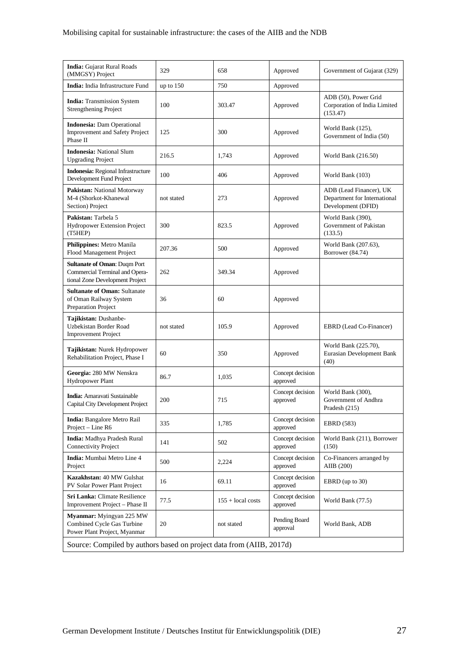| <b>India:</b> Gujarat Rural Roads<br>(MMGSY) Project                                                     | 329         | 658                 | Approved                     | Government of Gujarat (329)                                                   |  |  |  |
|----------------------------------------------------------------------------------------------------------|-------------|---------------------|------------------------------|-------------------------------------------------------------------------------|--|--|--|
| India: India Infrastructure Fund                                                                         | up to $150$ | 750                 | Approved                     |                                                                               |  |  |  |
| <b>India:</b> Transmission System<br><b>Strengthening Project</b>                                        | 100         | 303.47              | Approved                     | ADB (50), Power Grid<br>Corporation of India Limited<br>(153.47)              |  |  |  |
| <b>Indonesia:</b> Dam Operational<br>Improvement and Safety Project<br>Phase II                          | 125         | 300                 | Approved                     | World Bank (125),<br>Government of India (50)                                 |  |  |  |
| <b>Indonesia: National Slum</b><br><b>Upgrading Project</b>                                              | 216.5       | 1,743               | Approved                     | World Bank (216.50)                                                           |  |  |  |
| Indonesia: Regional Infrastructure<br>Development Fund Project                                           | 100         | 406                 | Approved                     | World Bank (103)                                                              |  |  |  |
| Pakistan: National Motorway<br>M-4 (Shorkot-Khanewal<br>Section) Project                                 | not stated  | 273                 | Approved                     | ADB (Lead Financer), UK<br>Department for International<br>Development (DFID) |  |  |  |
| Pakistan: Tarbela 5<br>Hydropower Extension Project<br>(T5HEP)                                           | 300         | 823.5               | Approved                     | World Bank (390),<br>Government of Pakistan<br>(133.5)                        |  |  |  |
| Philippines: Metro Manila<br>Flood Management Project                                                    | 207.36      | 500                 | Approved                     | World Bank (207.63),<br>Borrower (84.74)                                      |  |  |  |
| <b>Sultanate of Oman: Duqm Port</b><br>Commercial Terminal and Opera-<br>tional Zone Development Project | 262         | 349.34              | Approved                     |                                                                               |  |  |  |
| <b>Sultanate of Oman: Sultanate</b><br>of Oman Railway System<br>Preparation Project                     | 36          | 60                  | Approved                     |                                                                               |  |  |  |
| Tajikistan: Dushanbe-<br>Uzbekistan Border Road<br><b>Improvement Project</b>                            | not stated  | 105.9               | Approved                     | EBRD (Lead Co-Financer)                                                       |  |  |  |
| Tajikistan: Nurek Hydropower<br>Rehabilitation Project, Phase I                                          | 60          | 350                 | Approved                     | World Bank (225.70),<br>Eurasian Development Bank<br>(40)                     |  |  |  |
| Georgia: 280 MW Nenskra<br>Hydropower Plant                                                              | 86.7        | 1,035               | Concept decision<br>approved |                                                                               |  |  |  |
| <b>India:</b> Amaravati Sustainable<br><b>Capital City Development Project</b>                           | 200         | 715                 | Concept decision<br>approved | World Bank (300),<br>Government of Andhra<br>Pradesh (215)                    |  |  |  |
| <b>India:</b> Bangalore Metro Rail<br>Project - Line R6                                                  | 335         | 1,785               | Concept decision<br>approved | EBRD (583)                                                                    |  |  |  |
| India: Madhya Pradesh Rural<br>Connectivity Project                                                      | 141         | 502                 | Concept decision<br>approved | World Bank (211), Borrower<br>(150)                                           |  |  |  |
| India: Mumbai Metro Line 4<br>Project                                                                    | 500         | 2,224               | Concept decision<br>approved | Co-Financers arranged by<br>AIIB (200)                                        |  |  |  |
| Kazakhstan: 40 MW Gulshat<br>PV Solar Power Plant Project                                                | 16          | 69.11               | Concept decision<br>approved | EBRD (up to $30$ )                                                            |  |  |  |
| Sri Lanka: Climate Resilience<br>Improvement Project - Phase II                                          | 77.5        | $155 +$ local costs | Concept decision<br>approved | World Bank (77.5)                                                             |  |  |  |
| Myanmar: Myingyan 225 MW<br>Combined Cycle Gas Turbine<br>Power Plant Project, Myanmar                   | 20          | not stated          | Pending Board<br>approval    | World Bank, ADB                                                               |  |  |  |
| Source: Compiled by authors based on project data from (AIIB, 2017d)                                     |             |                     |                              |                                                                               |  |  |  |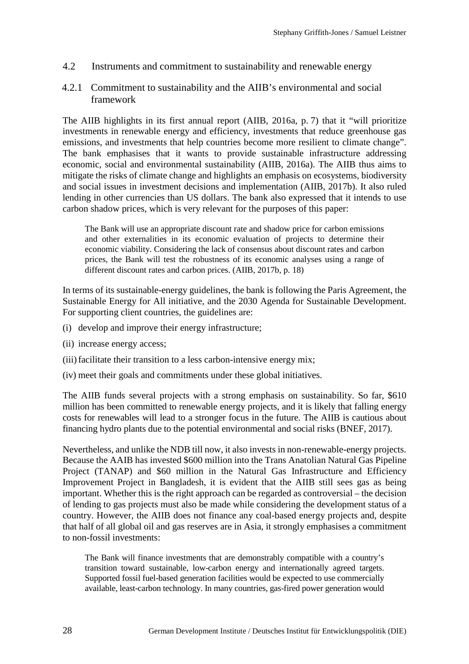- 4.2 Instruments and commitment to sustainability and renewable energy
- 4.2.1 Commitment to sustainability and the AIIB's environmental and social framework

The AIIB highlights in its first annual report (AIIB, 2016a, p. 7) that it "will prioritize investments in renewable energy and efficiency, investments that reduce greenhouse gas emissions, and investments that help countries become more resilient to climate change". The bank emphasises that it wants to provide sustainable infrastructure addressing economic, social and environmental sustainability (AIIB, 2016a). The AIIB thus aims to mitigate the risks of climate change and highlights an emphasis on ecosystems, biodiversity and social issues in investment decisions and implementation (AIIB, 2017b). It also ruled lending in other currencies than US dollars. The bank also expressed that it intends to use carbon shadow prices, which is very relevant for the purposes of this paper:

The Bank will use an appropriate discount rate and shadow price for carbon emissions and other externalities in its economic evaluation of projects to determine their economic viability. Considering the lack of consensus about discount rates and carbon prices, the Bank will test the robustness of its economic analyses using a range of different discount rates and carbon prices. (AIIB, 2017b, p. 18)

In terms of its sustainable-energy guidelines, the bank is following the Paris Agreement, the Sustainable Energy for All initiative, and the 2030 Agenda for Sustainable Development. For supporting client countries, the guidelines are:

- (i) develop and improve their energy infrastructure;
- (ii) increase energy access;
- (iii) facilitate their transition to a less carbon-intensive energy mix;
- (iv) meet their goals and commitments under these global initiatives.

The AIIB funds several projects with a strong emphasis on sustainability. So far, \$610 million has been committed to renewable energy projects, and it is likely that falling energy costs for renewables will lead to a stronger focus in the future. The AIIB is cautious about financing hydro plants due to the potential environmental and social risks (BNEF, 2017).

Nevertheless, and unlike the NDB till now, it also invests in non-renewable-energy projects. Because the AAIB has invested \$600 million into the Trans Anatolian Natural Gas Pipeline Project (TANAP) and \$60 million in the Natural Gas Infrastructure and Efficiency Improvement Project in Bangladesh, it is evident that the AIIB still sees gas as being important. Whether this is the right approach can be regarded as controversial – the decision of lending to gas projects must also be made while considering the development status of a country. However, the AIIB does not finance any coal-based energy projects and, despite that half of all global oil and gas reserves are in Asia, it strongly emphasises a commitment to non-fossil investments:

The Bank will finance investments that are demonstrably compatible with a country's transition toward sustainable, low-carbon energy and internationally agreed targets. Supported fossil fuel-based generation facilities would be expected to use commercially available, least-carbon technology. In many countries, gas-fired power generation would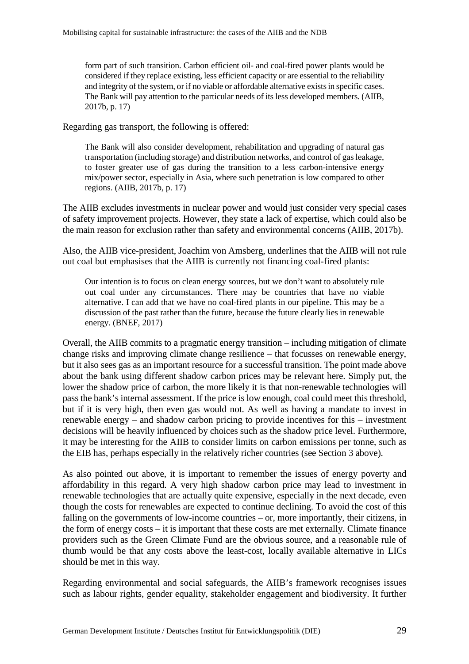form part of such transition. Carbon efficient oil- and coal-fired power plants would be considered if they replace existing, less efficient capacity or are essential to the reliability and integrity of the system, or if no viable or affordable alternative exists in specific cases. The Bank will pay attention to the particular needs of its less developed members. (AIIB, 2017b, p. 17)

Regarding gas transport, the following is offered:

The Bank will also consider development, rehabilitation and upgrading of natural gas transportation (including storage) and distribution networks, and control of gas leakage, to foster greater use of gas during the transition to a less carbon-intensive energy mix/power sector, especially in Asia, where such penetration is low compared to other regions. (AIIB, 2017b, p. 17)

The AIIB excludes investments in nuclear power and would just consider very special cases of safety improvement projects. However, they state a lack of expertise, which could also be the main reason for exclusion rather than safety and environmental concerns (AIIB, 2017b).

Also, the AIIB vice-president, Joachim von Amsberg, underlines that the AIIB will not rule out coal but emphasises that the AIIB is currently not financing coal-fired plants:

Our intention is to focus on clean energy sources, but we don't want to absolutely rule out coal under any circumstances. There may be countries that have no viable alternative. I can add that we have no coal-fired plants in our pipeline. This may be a discussion of the past rather than the future, because the future clearly lies in renewable energy. (BNEF, 2017)

Overall, the AIIB commits to a pragmatic energy transition – including mitigation of climate change risks and improving climate change resilience – that focusses on renewable energy, but it also sees gas as an important resource for a successful transition. The point made above about the bank using different shadow carbon prices may be relevant here. Simply put, the lower the shadow price of carbon, the more likely it is that non-renewable technologies will pass the bank's internal assessment. If the price is low enough, coal could meet this threshold, but if it is very high, then even gas would not. As well as having a mandate to invest in renewable energy – and shadow carbon pricing to provide incentives for this – investment decisions will be heavily influenced by choices such as the shadow price level. Furthermore, it may be interesting for the AIIB to consider limits on carbon emissions per tonne, such as the EIB has, perhaps especially in the relatively richer countries (see Section 3 above).

As also pointed out above, it is important to remember the issues of energy poverty and affordability in this regard. A very high shadow carbon price may lead to investment in renewable technologies that are actually quite expensive, especially in the next decade, even though the costs for renewables are expected to continue declining. To avoid the cost of this falling on the governments of low-income countries – or, more importantly, their citizens, in the form of energy costs – it is important that these costs are met externally. Climate finance providers such as the Green Climate Fund are the obvious source, and a reasonable rule of thumb would be that any costs above the least-cost, locally available alternative in LICs should be met in this way.

Regarding environmental and social safeguards, the AIIB's framework recognises issues such as labour rights, gender equality, stakeholder engagement and biodiversity. It further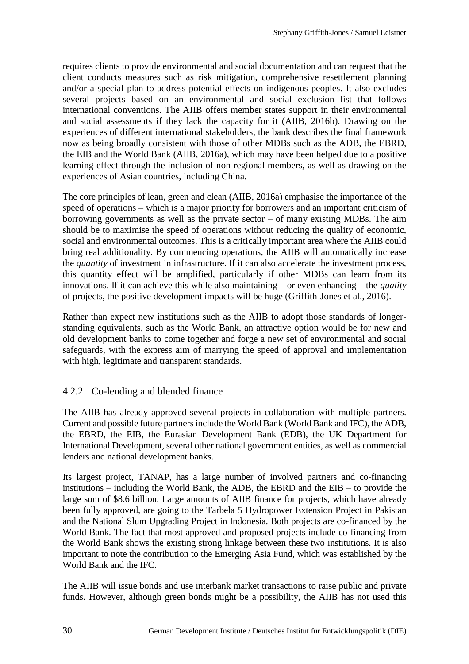requires clients to provide environmental and social documentation and can request that the client conducts measures such as risk mitigation, comprehensive resettlement planning and/or a special plan to address potential effects on indigenous peoples. It also excludes several projects based on an environmental and social exclusion list that follows international conventions. The AIIB offers member states support in their environmental and social assessments if they lack the capacity for it (AIIB, 2016b). Drawing on the experiences of different international stakeholders, the bank describes the final framework now as being broadly consistent with those of other MDBs such as the ADB, the EBRD, the EIB and the World Bank (AIIB, 2016a), which may have been helped due to a positive learning effect through the inclusion of non-regional members, as well as drawing on the experiences of Asian countries, including China.

The core principles of lean, green and clean (AIIB, 2016a) emphasise the importance of the speed of operations – which is a major priority for borrowers and an important criticism of borrowing governments as well as the private sector – of many existing MDBs. The aim should be to maximise the speed of operations without reducing the quality of economic, social and environmental outcomes. This is a critically important area where the AIIB could bring real additionality. By commencing operations, the AIIB will automatically increase the *quantity* of investment in infrastructure. If it can also accelerate the investment process, this quantity effect will be amplified, particularly if other MDBs can learn from its innovations. If it can achieve this while also maintaining – or even enhancing – the *quality* of projects, the positive development impacts will be huge (Griffith-Jones et al., 2016).

Rather than expect new institutions such as the AIIB to adopt those standards of longerstanding equivalents, such as the World Bank, an attractive option would be for new and old development banks to come together and forge a new set of environmental and social safeguards, with the express aim of marrying the speed of approval and implementation with high, legitimate and transparent standards.

## 4.2.2 Co-lending and blended finance

The AIIB has already approved several projects in collaboration with multiple partners. Current and possible future partners include the World Bank (World Bank and IFC), the ADB, the EBRD, the EIB, the Eurasian Development Bank (EDB), the UK Department for International Development, several other national government entities, as well as commercial lenders and national development banks.

Its largest project, TANAP, has a large number of involved partners and co-financing institutions – including the World Bank, the ADB, the EBRD and the EIB – to provide the large sum of \$8.6 billion. Large amounts of AIIB finance for projects, which have already been fully approved, are going to the Tarbela 5 Hydropower Extension Project in Pakistan and the National Slum Upgrading Project in Indonesia. Both projects are co-financed by the World Bank. The fact that most approved and proposed projects include co-financing from the World Bank shows the existing strong linkage between these two institutions. It is also important to note the contribution to the Emerging Asia Fund, which was established by the World Bank and the IFC.

The AIIB will issue bonds and use interbank market transactions to raise public and private funds. However, although green bonds might be a possibility, the AIIB has not used this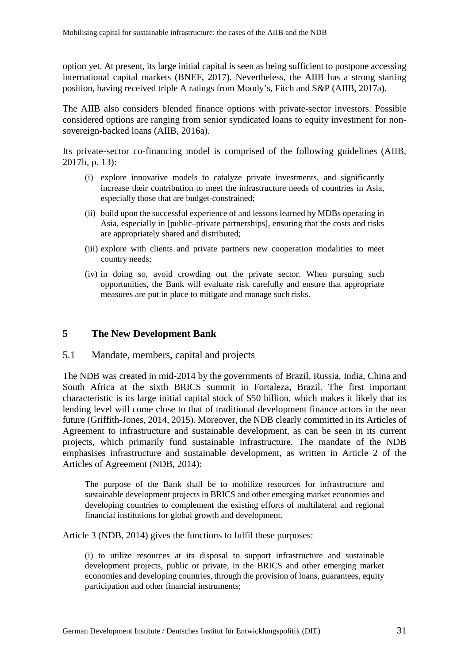option yet. At present, its large initial capital is seen as being sufficient to postpone accessing international capital markets (BNEF, 2017). Nevertheless, the AIIB has a strong starting position, having received triple A ratings from Moody's, Fitch and S&P (AIIB, 2017a).

The AIIB also considers blended finance options with private-sector investors. Possible considered options are ranging from senior syndicated loans to equity investment for nonsovereign-backed loans (AIIB, 2016a).

Its private-sector co-financing model is comprised of the following guidelines (AIIB, 2017b, p. 13):

- (i) explore innovative models to catalyze private investments, and significantly increase their contribution to meet the infrastructure needs of countries in Asia, especially those that are budget-constrained;
- (ii) build upon the successful experience of and lessons learned by MDBs operating in Asia, especially in [public–private partnerships], ensuring that the costs and risks are appropriately shared and distributed;
- (iii) explore with clients and private partners new cooperation modalities to meet country needs;
- (iv) in doing so, avoid crowding out the private sector. When pursuing such opportunities, the Bank will evaluate risk carefully and ensure that appropriate measures are put in place to mitigate and manage such risks.

## **5 The New Development Bank**

5.1 Mandate, members, capital and projects

The NDB was created in mid-2014 by the governments of Brazil, Russia, India, China and South Africa at the sixth BRICS summit in Fortaleza, Brazil. The first important characteristic is its large initial capital stock of \$50 billion, which makes it likely that its lending level will come close to that of traditional development finance actors in the near future (Griffith-Jones, 2014, 2015). Moreover, the NDB clearly committed in its Articles of Agreement to infrastructure and sustainable development, as can be seen in its current projects, which primarily fund sustainable infrastructure. The mandate of the NDB emphasises infrastructure and sustainable development, as written in Article 2 of the Articles of Agreement (NDB, 2014):

The purpose of the Bank shall be to mobilize resources for infrastructure and sustainable development projects in BRICS and other emerging market economies and developing countries to complement the existing efforts of multilateral and regional financial institutions for global growth and development.

Article 3 (NDB, 2014) gives the functions to fulfil these purposes:

(i) to utilize resources at its disposal to support infrastructure and sustainable development projects, public or private, in the BRICS and other emerging market economies and developing countries, through the provision of loans, guarantees, equity participation and other financial instruments;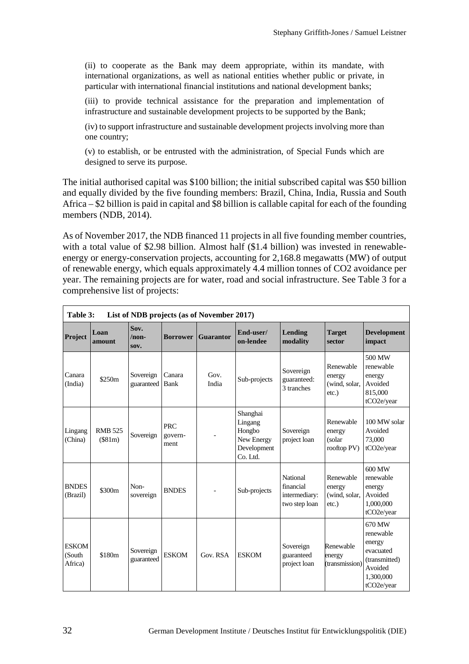(ii) to cooperate as the Bank may deem appropriate, within its mandate, with international organizations, as well as national entities whether public or private, in particular with international financial institutions and national development banks;

(iii) to provide technical assistance for the preparation and implementation of infrastructure and sustainable development projects to be supported by the Bank;

(iv) to support infrastructure and sustainable development projects involving more than one country;

(v) to establish, or be entrusted with the administration, of Special Funds which are designed to serve its purpose.

The initial authorised capital was \$100 billion; the initial subscribed capital was \$50 billion and equally divided by the five founding members: Brazil, China, India, Russia and South Africa – \$2 billion is paid in capital and \$8 billion is callable capital for each of the founding members (NDB, 2014).

As of November 2017, the NDB financed 11 projects in all five founding member countries, with a total value of \$2.98 billion. Almost half (\$1.4 billion) was invested in renewableenergy or energy-conservation projects, accounting for 2,168.8 megawatts (MW) of output of renewable energy, which equals approximately 4.4 million tonnes of CO2 avoidance per year. The remaining projects are for water, road and social infrastructure. See Table 3 for a comprehensive list of projects:

| Table 3:<br>List of NDB projects (as of November 2017) |                           |                          |                               |                  |                                                                        |                                                         |                                                  |                                                                                                   |
|--------------------------------------------------------|---------------------------|--------------------------|-------------------------------|------------------|------------------------------------------------------------------------|---------------------------------------------------------|--------------------------------------------------|---------------------------------------------------------------------------------------------------|
| Project                                                | Loan<br>amount            | Sov.<br>$/$ non-<br>SOV. | <b>Borrower</b>               | <b>Guarantor</b> | End-user/<br>on-lendee                                                 | Lending<br>modality                                     | <b>Target</b><br>sector                          | <b>Development</b><br>impact                                                                      |
| Canara<br>(India)                                      | \$250m                    | Sovereign<br>guaranteed  | Canara<br>Bank                | Gov.<br>India    | Sub-projects                                                           | Sovereign<br>guaranteed:<br>3 tranches                  | Renewable<br>energy<br>(wind, solar,<br>$etc.$ ) | 500 MW<br>renewable<br>energy<br>Avoided<br>815,000<br>tCO2e/year                                 |
| Lingang<br>(China)                                     | <b>RMB 525</b><br>(\$81m) | Sovereign                | <b>PRC</b><br>govern-<br>ment |                  | Shanghai<br>Lingang<br>Hongbo<br>New Energy<br>Development<br>Co. Ltd. | Sovereign<br>project loan                               | Renewable<br>energy<br>(solar<br>rooftop PV)     | 100 MW solar<br>Avoided<br>73,000<br>tCO2e/year                                                   |
| <b>BNDES</b><br>(Brazil)                               | \$300m                    | Non-<br>sovereign        | <b>BNDES</b>                  |                  | Sub-projects                                                           | National<br>financial<br>intermediary:<br>two step loan | Renewable<br>energy<br>(wind, solar,<br>$etc.$ ) | 600 MW<br>renewable<br>energy<br>Avoided<br>1,000,000<br>tCO2e/year                               |
| <b>ESKOM</b><br>(South<br>Africa)                      | \$180m                    | Sovereign<br>guaranteed  | <b>ESKOM</b>                  | Gov. RSA         | <b>ESKOM</b>                                                           | Sovereign<br>guaranteed<br>project loan                 | Renewable<br>energy<br>(transmission)            | 670 MW<br>renewable<br>energy<br>evacuated<br>(transmitted)<br>Avoided<br>1,300,000<br>tCO2e/year |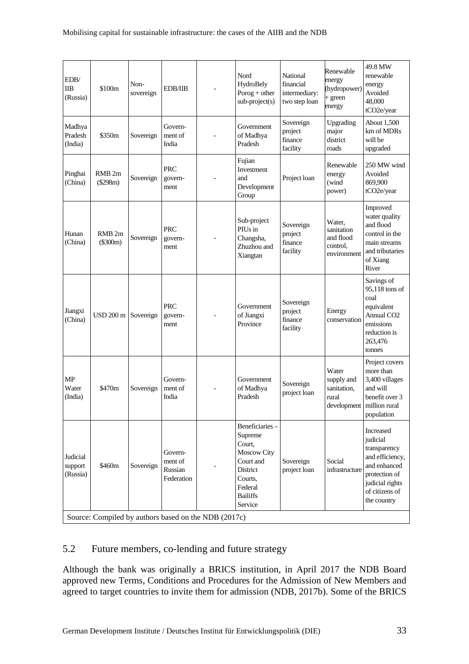| EDB/<br><b>IIB</b><br>(Russia)                       | \$100m                        | Non-<br>sovereign | <b>EDB/IIB</b>                              |  | Nord<br>HydroBely<br>$Porog + other$<br>sub-project(s)                                                                          | National<br>financial<br>intermediary:<br>two step loan | Renewable<br>energy<br>(hydropower)<br>+ green<br>energy     | 49.8 MW<br>renewable<br>energy<br>Avoided<br>48,000<br>tCO2e/year                                                                             |
|------------------------------------------------------|-------------------------------|-------------------|---------------------------------------------|--|---------------------------------------------------------------------------------------------------------------------------------|---------------------------------------------------------|--------------------------------------------------------------|-----------------------------------------------------------------------------------------------------------------------------------------------|
| Madhya<br>Pradesh<br>(India)                         | \$350m                        | Sovereign         | Govern-<br>ment of<br>India                 |  | Government<br>of Madhya<br>Pradesh                                                                                              | Sovereign<br>project<br>finance<br>facility             | Upgrading<br>major<br>district<br>roads                      | About 1,500<br>km of MDRs<br>will be<br>upgraded                                                                                              |
| Pinghai<br>(China)                                   | RMB <sub>2m</sub><br>(\$298m) | Sovereign         | <b>PRC</b><br>govern-<br>ment               |  | Fujian<br>Investment<br>and<br>Development<br>Group                                                                             | Project loan                                            | Renewable<br>energy<br>(wind<br>power)                       | 250 MW wind<br>Avoided<br>869,900<br>tCO2e/year                                                                                               |
| Hunan<br>(China)                                     | RMB <sub>2m</sub><br>(S300m)  | Sovereign         | <b>PRC</b><br>govern-<br>ment               |  | Sub-project<br>PIUs in<br>Changsha,<br>Zhuzhou and<br>Xiangtan                                                                  | Sovereign<br>project<br>finance<br>facility             | Water.<br>sanitation<br>and flood<br>control,<br>environment | Improved<br>water quality<br>and flood<br>control in the<br>main streams<br>and tributaries<br>of Xiang<br>River                              |
| Jiangxi<br>(China)                                   | USD 200 m                     | Sovereign         | <b>PRC</b><br>govern-<br>ment               |  | Government<br>of Jiangxi<br>Province                                                                                            | Sovereign<br>project<br>finance<br>facility             | Energy<br>conservation                                       | Savings of<br>95,118 tons of<br>coal<br>equivalent<br>Annual CO <sub>2</sub><br>emissions<br>reduction is<br>263,476<br>tonnes                |
| MP<br>Water<br>(India)                               | \$470m                        | Sovereign         | Govern-<br>ment of<br>India                 |  | Government<br>of Madhya<br>Pradesh                                                                                              | Sovereign<br>project loan                               | Water<br>supply and<br>sanitation,<br>rural<br>development   | Project covers<br>more than<br>3,400 villages<br>and will<br>benefit over 3<br>million rural<br>population                                    |
| Judicial<br>support<br>(Russia)                      | \$460m                        | Sovereign         | Govern-<br>ment of<br>Russian<br>Federation |  | Beneficiaries-<br>Supreme<br>Court,<br>Moscow City<br>Court and<br>District<br>Courts,<br>Federal<br><b>Bailiffs</b><br>Service | Sovereign<br>project loan                               | Social<br>infrastructure                                     | Increased<br>judicial<br>transparency<br>and efficiency,<br>and enhanced<br>protection of<br>judicial rights<br>of citizens of<br>the country |
| Source: Compiled by authors based on the NDB (2017c) |                               |                   |                                             |  |                                                                                                                                 |                                                         |                                                              |                                                                                                                                               |

## 5.2 Future members, co-lending and future strategy

Although the bank was originally a BRICS institution, in April 2017 the NDB Board approved new Terms, Conditions and Procedures for the Admission of New Members and agreed to target countries to invite them for admission (NDB, 2017b). Some of the BRICS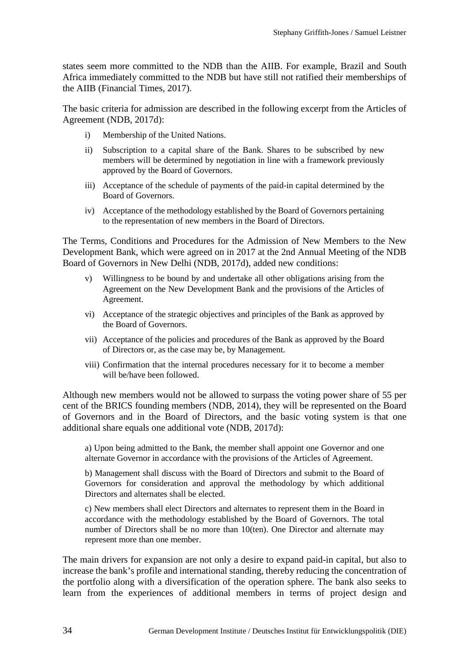states seem more committed to the NDB than the AIIB. For example, Brazil and South Africa immediately committed to the NDB but have still not ratified their memberships of the AIIB (Financial Times, 2017).

The basic criteria for admission are described in the following excerpt from the Articles of Agreement (NDB, 2017d):

- i) Membership of the United Nations.
- ii) Subscription to a capital share of the Bank. Shares to be subscribed by new members will be determined by negotiation in line with a framework previously approved by the Board of Governors.
- iii) Acceptance of the schedule of payments of the paid-in capital determined by the Board of Governors.
- iv) Acceptance of the methodology established by the Board of Governors pertaining to the representation of new members in the Board of Directors.

The Terms, Conditions and Procedures for the Admission of New Members to the New Development Bank, which were agreed on in 2017 at the 2nd Annual Meeting of the NDB Board of Governors in New Delhi (NDB, 2017d), added new conditions:

- v) Willingness to be bound by and undertake all other obligations arising from the Agreement on the New Development Bank and the provisions of the Articles of Agreement.
- vi) Acceptance of the strategic objectives and principles of the Bank as approved by the Board of Governors.
- vii) Acceptance of the policies and procedures of the Bank as approved by the Board of Directors or, as the case may be, by Management.
- viii) Confirmation that the internal procedures necessary for it to become a member will be/have been followed.

Although new members would not be allowed to surpass the voting power share of 55 per cent of the BRICS founding members (NDB, 2014), they will be represented on the Board of Governors and in the Board of Directors, and the basic voting system is that one additional share equals one additional vote (NDB, 2017d):

a) Upon being admitted to the Bank, the member shall appoint one Governor and one alternate Governor in accordance with the provisions of the Articles of Agreement.

b) Management shall discuss with the Board of Directors and submit to the Board of Governors for consideration and approval the methodology by which additional Directors and alternates shall be elected.

c) New members shall elect Directors and alternates to represent them in the Board in accordance with the methodology established by the Board of Governors. The total number of Directors shall be no more than 10(ten). One Director and alternate may represent more than one member.

The main drivers for expansion are not only a desire to expand paid-in capital, but also to increase the bank's profile and international standing, thereby reducing the concentration of the portfolio along with a diversification of the operation sphere. The bank also seeks to learn from the experiences of additional members in terms of project design and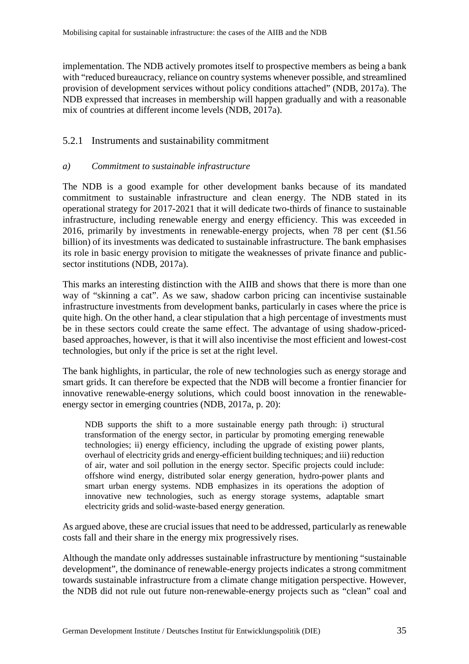implementation. The NDB actively promotes itself to prospective members as being a bank with "reduced bureaucracy, reliance on country systems whenever possible, and streamlined provision of development services without policy conditions attached" (NDB, 2017a). The NDB expressed that increases in membership will happen gradually and with a reasonable mix of countries at different income levels (NDB, 2017a).

## 5.2.1 Instruments and sustainability commitment

#### *a) Commitment to sustainable infrastructure*

The NDB is a good example for other development banks because of its mandated commitment to sustainable infrastructure and clean energy. The NDB stated in its operational strategy for 2017-2021 that it will dedicate two-thirds of finance to sustainable infrastructure, including renewable energy and energy efficiency. This was exceeded in 2016, primarily by investments in renewable-energy projects, when 78 per cent (\$1.56 billion) of its investments was dedicated to sustainable infrastructure. The bank emphasises its role in basic energy provision to mitigate the weaknesses of private finance and publicsector institutions (NDB, 2017a).

This marks an interesting distinction with the AIIB and shows that there is more than one way of "skinning a cat". As we saw, shadow carbon pricing can incentivise sustainable infrastructure investments from development banks, particularly in cases where the price is quite high. On the other hand, a clear stipulation that a high percentage of investments must be in these sectors could create the same effect. The advantage of using shadow-pricedbased approaches, however, is that it will also incentivise the most efficient and lowest-cost technologies, but only if the price is set at the right level.

The bank highlights, in particular, the role of new technologies such as energy storage and smart grids. It can therefore be expected that the NDB will become a frontier financier for innovative renewable-energy solutions, which could boost innovation in the renewableenergy sector in emerging countries (NDB, 2017a, p. 20):

NDB supports the shift to a more sustainable energy path through: i) structural transformation of the energy sector, in particular by promoting emerging renewable technologies; ii) energy efficiency, including the upgrade of existing power plants, overhaul of electricity grids and energy-efficient building techniques; and iii) reduction of air, water and soil pollution in the energy sector. Specific projects could include: offshore wind energy, distributed solar energy generation, hydro-power plants and smart urban energy systems. NDB emphasizes in its operations the adoption of innovative new technologies, such as energy storage systems, adaptable smart electricity grids and solid-waste-based energy generation.

As argued above, these are crucial issues that need to be addressed, particularly as renewable costs fall and their share in the energy mix progressively rises.

Although the mandate only addresses sustainable infrastructure by mentioning "sustainable development", the dominance of renewable-energy projects indicates a strong commitment towards sustainable infrastructure from a climate change mitigation perspective. However, the NDB did not rule out future non-renewable-energy projects such as "clean" coal and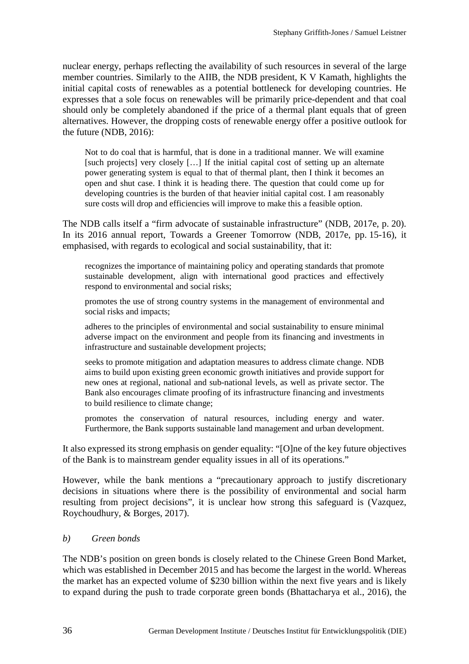nuclear energy, perhaps reflecting the availability of such resources in several of the large member countries. Similarly to the AIIB, the NDB president, K V Kamath, highlights the initial capital costs of renewables as a potential bottleneck for developing countries. He expresses that a sole focus on renewables will be primarily price-dependent and that coal should only be completely abandoned if the price of a thermal plant equals that of green alternatives. However, the dropping costs of renewable energy offer a positive outlook for the future (NDB, 2016):

Not to do coal that is harmful, that is done in a traditional manner. We will examine [such projects] very closely […] If the initial capital cost of setting up an alternate power generating system is equal to that of thermal plant, then I think it becomes an open and shut case. I think it is heading there. The question that could come up for developing countries is the burden of that heavier initial capital cost. I am reasonably sure costs will drop and efficiencies will improve to make this a feasible option.

The NDB calls itself a "firm advocate of sustainable infrastructure" (NDB, 2017e, p. 20). In its 2016 annual report, Towards a Greener Tomorrow (NDB, 2017e, pp. 15-16), it emphasised, with regards to ecological and social sustainability, that it:

recognizes the importance of maintaining policy and operating standards that promote sustainable development, align with international good practices and effectively respond to environmental and social risks;

promotes the use of strong country systems in the management of environmental and social risks and impacts;

adheres to the principles of environmental and social sustainability to ensure minimal adverse impact on the environment and people from its financing and investments in infrastructure and sustainable development projects;

seeks to promote mitigation and adaptation measures to address climate change. NDB aims to build upon existing green economic growth initiatives and provide support for new ones at regional, national and sub-national levels, as well as private sector. The Bank also encourages climate proofing of its infrastructure financing and investments to build resilience to climate change;

promotes the conservation of natural resources, including energy and water. Furthermore, the Bank supports sustainable land management and urban development.

It also expressed its strong emphasis on gender equality: "[O]ne of the key future objectives of the Bank is to mainstream gender equality issues in all of its operations."

However, while the bank mentions a "precautionary approach to justify discretionary decisions in situations where there is the possibility of environmental and social harm resulting from project decisions", it is unclear how strong this safeguard is (Vazquez, Roychoudhury, & Borges, 2017).

## *b) Green bonds*

The NDB's position on green bonds is closely related to the Chinese Green Bond Market, which was established in December 2015 and has become the largest in the world. Whereas the market has an expected volume of \$230 billion within the next five years and is likely to expand during the push to trade corporate green bonds (Bhattacharya et al., 2016), the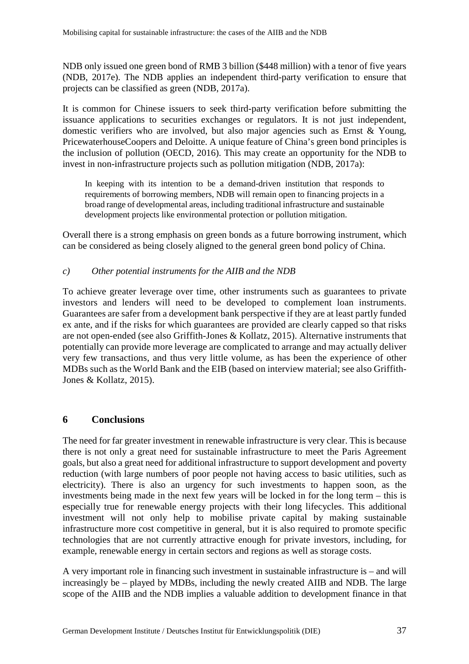NDB only issued one green bond of RMB 3 billion (\$448 million) with a tenor of five years (NDB, 2017e). The NDB applies an independent third-party verification to ensure that projects can be classified as green (NDB, 2017a).

It is common for Chinese issuers to seek third-party verification before submitting the issuance applications to securities exchanges or regulators. It is not just independent, domestic verifiers who are involved, but also major agencies such as Ernst & Young, PricewaterhouseCoopers and Deloitte. A unique feature of China's green bond principles is the inclusion of pollution (OECD, 2016). This may create an opportunity for the NDB to invest in non-infrastructure projects such as pollution mitigation (NDB, 2017a):

In keeping with its intention to be a demand-driven institution that responds to requirements of borrowing members, NDB will remain open to financing projects in a broad range of developmental areas, including traditional infrastructure and sustainable development projects like environmental protection or pollution mitigation.

Overall there is a strong emphasis on green bonds as a future borrowing instrument, which can be considered as being closely aligned to the general green bond policy of China.

#### *c) Other potential instruments for the AIIB and the NDB*

To achieve greater leverage over time, other instruments such as guarantees to private investors and lenders will need to be developed to complement loan instruments. Guarantees are safer from a development bank perspective if they are at least partly funded ex ante, and if the risks for which guarantees are provided are clearly capped so that risks are not open-ended (see also Griffith-Jones & Kollatz, 2015). Alternative instruments that potentially can provide more leverage are complicated to arrange and may actually deliver very few transactions, and thus very little volume, as has been the experience of other MDBs such as the World Bank and the EIB (based on interview material; see also Griffith-Jones & Kollatz, 2015).

## **6 Conclusions**

The need for far greater investment in renewable infrastructure is very clear. This is because there is not only a great need for sustainable infrastructure to meet the Paris Agreement goals, but also a great need for additional infrastructure to support development and poverty reduction (with large numbers of poor people not having access to basic utilities, such as electricity). There is also an urgency for such investments to happen soon, as the investments being made in the next few years will be locked in for the long term – this is especially true for renewable energy projects with their long lifecycles. This additional investment will not only help to mobilise private capital by making sustainable infrastructure more cost competitive in general, but it is also required to promote specific technologies that are not currently attractive enough for private investors, including, for example, renewable energy in certain sectors and regions as well as storage costs.

A very important role in financing such investment in sustainable infrastructure is – and will increasingly be – played by MDBs, including the newly created AIIB and NDB. The large scope of the AIIB and the NDB implies a valuable addition to development finance in that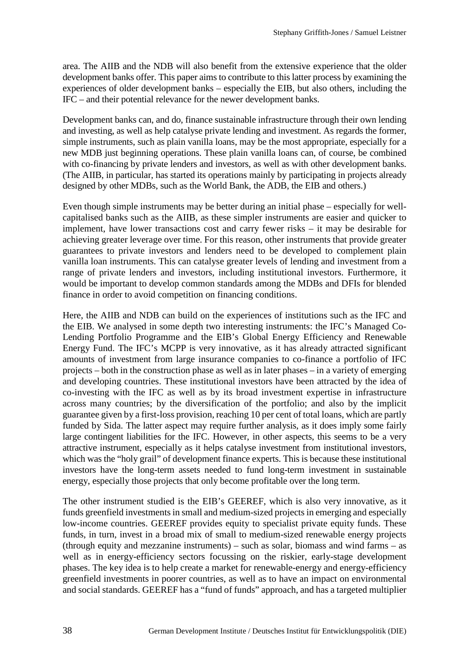area. The AIIB and the NDB will also benefit from the extensive experience that the older development banks offer. This paper aims to contribute to this latter process by examining the experiences of older development banks – especially the EIB, but also others, including the IFC – and their potential relevance for the newer development banks.

Development banks can, and do, finance sustainable infrastructure through their own lending and investing, as well as help catalyse private lending and investment. As regards the former, simple instruments, such as plain vanilla loans, may be the most appropriate, especially for a new MDB just beginning operations. These plain vanilla loans can, of course, be combined with co-financing by private lenders and investors, as well as with other development banks. (The AIIB, in particular, has started its operations mainly by participating in projects already designed by other MDBs, such as the World Bank, the ADB, the EIB and others.)

Even though simple instruments may be better during an initial phase – especially for wellcapitalised banks such as the AIIB, as these simpler instruments are easier and quicker to implement, have lower transactions cost and carry fewer risks – it may be desirable for achieving greater leverage over time. For this reason, other instruments that provide greater guarantees to private investors and lenders need to be developed to complement plain vanilla loan instruments. This can catalyse greater levels of lending and investment from a range of private lenders and investors, including institutional investors. Furthermore, it would be important to develop common standards among the MDBs and DFIs for blended finance in order to avoid competition on financing conditions.

Here, the AIIB and NDB can build on the experiences of institutions such as the IFC and the EIB. We analysed in some depth two interesting instruments: the IFC's Managed Co-Lending Portfolio Programme and the EIB's Global Energy Efficiency and Renewable Energy Fund. The IFC's MCPP is very innovative, as it has already attracted significant amounts of investment from large insurance companies to co-finance a portfolio of IFC projects – both in the construction phase as well as in later phases – in a variety of emerging and developing countries. These institutional investors have been attracted by the idea of co-investing with the IFC as well as by its broad investment expertise in infrastructure across many countries; by the diversification of the portfolio; and also by the implicit guarantee given by a first-loss provision, reaching 10 per cent of total loans, which are partly funded by Sida. The latter aspect may require further analysis, as it does imply some fairly large contingent liabilities for the IFC. However, in other aspects, this seems to be a very attractive instrument, especially as it helps catalyse investment from institutional investors, which was the "holy grail" of development finance experts. This is because these institutional investors have the long-term assets needed to fund long-term investment in sustainable energy, especially those projects that only become profitable over the long term.

The other instrument studied is the EIB's GEEREF, which is also very innovative, as it funds greenfield investments in small and medium-sized projects in emerging and especially low-income countries. GEEREF provides equity to specialist private equity funds. These funds, in turn, invest in a broad mix of small to medium-sized renewable energy projects (through equity and mezzanine instruments) – such as solar, biomass and wind farms – as well as in energy-efficiency sectors focussing on the riskier, early-stage development phases. The key idea is to help create a market for renewable-energy and energy-efficiency greenfield investments in poorer countries, as well as to have an impact on environmental and social standards. GEEREF has a "fund of funds" approach, and has a targeted multiplier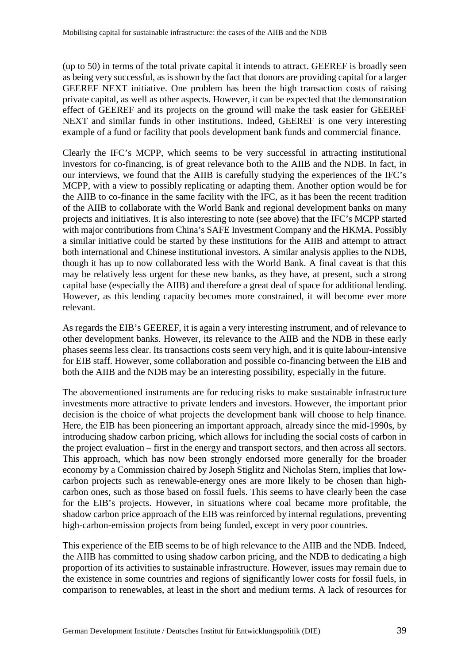(up to 50) in terms of the total private capital it intends to attract. GEEREF is broadly seen as being very successful, as is shown by the fact that donors are providing capital for a larger GEEREF NEXT initiative. One problem has been the high transaction costs of raising private capital, as well as other aspects. However, it can be expected that the demonstration effect of GEEREF and its projects on the ground will make the task easier for GEEREF NEXT and similar funds in other institutions. Indeed, GEEREF is one very interesting example of a fund or facility that pools development bank funds and commercial finance.

Clearly the IFC's MCPP, which seems to be very successful in attracting institutional investors for co-financing, is of great relevance both to the AIIB and the NDB. In fact, in our interviews, we found that the AIIB is carefully studying the experiences of the IFC's MCPP, with a view to possibly replicating or adapting them. Another option would be for the AIIB to co-finance in the same facility with the IFC, as it has been the recent tradition of the AIIB to collaborate with the World Bank and regional development banks on many projects and initiatives. It is also interesting to note (see above) that the IFC's MCPP started with major contributions from China's SAFE Investment Company and the HKMA. Possibly a similar initiative could be started by these institutions for the AIIB and attempt to attract both international and Chinese institutional investors. A similar analysis applies to the NDB, though it has up to now collaborated less with the World Bank. A final caveat is that this may be relatively less urgent for these new banks, as they have, at present, such a strong capital base (especially the AIIB) and therefore a great deal of space for additional lending. However, as this lending capacity becomes more constrained, it will become ever more relevant.

As regards the EIB's GEEREF, it is again a very interesting instrument, and of relevance to other development banks. However, its relevance to the AIIB and the NDB in these early phases seems less clear. Its transactions costs seem very high, and it is quite labour-intensive for EIB staff. However, some collaboration and possible co-financing between the EIB and both the AIIB and the NDB may be an interesting possibility, especially in the future.

The abovementioned instruments are for reducing risks to make sustainable infrastructure investments more attractive to private lenders and investors. However, the important prior decision is the choice of what projects the development bank will choose to help finance. Here, the EIB has been pioneering an important approach, already since the mid-1990s, by introducing shadow carbon pricing, which allows for including the social costs of carbon in the project evaluation – first in the energy and transport sectors, and then across all sectors. This approach, which has now been strongly endorsed more generally for the broader economy by a Commission chaired by Joseph Stiglitz and Nicholas Stern, implies that lowcarbon projects such as renewable-energy ones are more likely to be chosen than highcarbon ones, such as those based on fossil fuels. This seems to have clearly been the case for the EIB's projects. However, in situations where coal became more profitable, the shadow carbon price approach of the EIB was reinforced by internal regulations, preventing high-carbon-emission projects from being funded, except in very poor countries.

This experience of the EIB seems to be of high relevance to the AIIB and the NDB. Indeed, the AIIB has committed to using shadow carbon pricing, and the NDB to dedicating a high proportion of its activities to sustainable infrastructure. However, issues may remain due to the existence in some countries and regions of significantly lower costs for fossil fuels, in comparison to renewables, at least in the short and medium terms. A lack of resources for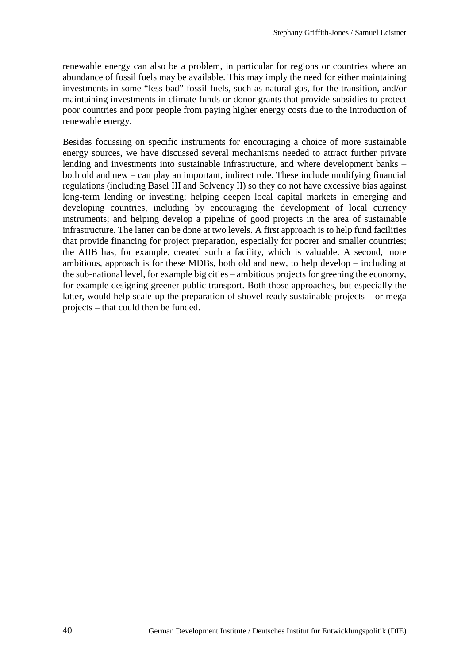renewable energy can also be a problem, in particular for regions or countries where an abundance of fossil fuels may be available. This may imply the need for either maintaining investments in some "less bad" fossil fuels, such as natural gas, for the transition, and/or maintaining investments in climate funds or donor grants that provide subsidies to protect poor countries and poor people from paying higher energy costs due to the introduction of renewable energy.

Besides focussing on specific instruments for encouraging a choice of more sustainable energy sources, we have discussed several mechanisms needed to attract further private lending and investments into sustainable infrastructure, and where development banks – both old and new – can play an important, indirect role. These include modifying financial regulations (including Basel III and Solvency II) so they do not have excessive bias against long-term lending or investing; helping deepen local capital markets in emerging and developing countries, including by encouraging the development of local currency instruments; and helping develop a pipeline of good projects in the area of sustainable infrastructure. The latter can be done at two levels. A first approach is to help fund facilities that provide financing for project preparation, especially for poorer and smaller countries; the AIIB has, for example, created such a facility, which is valuable. A second, more ambitious, approach is for these MDBs, both old and new, to help develop – including at the sub-national level, for example big cities – ambitious projects for greening the economy, for example designing greener public transport. Both those approaches, but especially the latter, would help scale-up the preparation of shovel-ready sustainable projects – or mega projects – that could then be funded.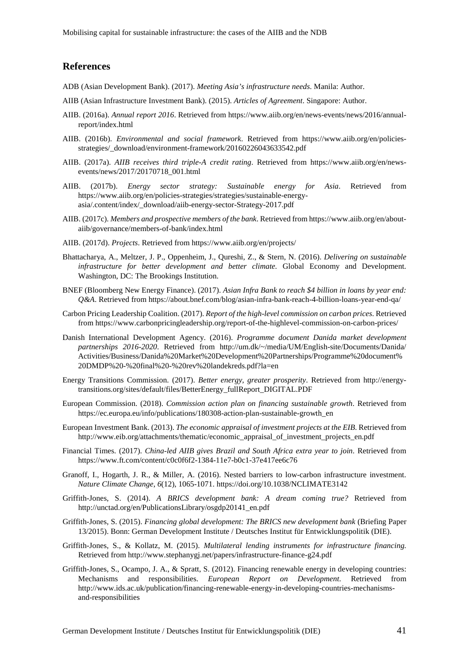#### **References**

- ADB (Asian Development Bank). (2017). *Meeting Asia's infrastructure needs*. Manila: Author.
- AIIB (Asian Infrastructure Investment Bank). (2015). *Articles of Agreement*. Singapore: Author.
- AIIB. (2016a). *Annual report 2016*. Retrieved from [https://www.aiib.org/en/news-events/news/2016/annual](https://www.aiib.org/en/news-events/news/2016/annual-report/index.html)[report/index.html](https://www.aiib.org/en/news-events/news/2016/annual-report/index.html)
- AIIB. (2016b). *Environmental and social framework*. Retrieved from [https://www.aiib.org/en/policies](https://www.aiib.org/en/policies-strategies/_download/environment-framework/20160226043633542.pdf)[strategies/\\_download/environment-framework/20160226043633542.pdf](https://www.aiib.org/en/policies-strategies/_download/environment-framework/20160226043633542.pdf)
- AIIB. (2017a). *AIIB receives third triple-A credit rating*. Retrieved from [https://www.aiib.org/en/news](https://www.aiib.org/en/news-events/news/2017/20170718_001.html)[events/news/2017/20170718\\_001.html](https://www.aiib.org/en/news-events/news/2017/20170718_001.html)
- AIIB. (2017b). *Energy sector strategy: Sustainable energy for Asia*. Retrieved from [https://www.aiib.org/en/policies-strategies/strategies/sustainable-energy](https://www.aiib.org/en/policies-strategies/strategies/sustainable-energy-asia/.content/index/_download/aiib-energy-sector-Strategy-2017.pdf)[asia/.content/index/\\_download/aiib-energy-sector-Strategy-2017.pdf](https://www.aiib.org/en/policies-strategies/strategies/sustainable-energy-asia/.content/index/_download/aiib-energy-sector-Strategy-2017.pdf)
- AIIB. (2017c). *Members and prospective members of the bank*. Retrieved fro[m https://www.aiib.org/en/about](https://www.aiib.org/en/about-aiib/governance/members-of-bank/index.html)[aiib/governance/members-of-bank/index.html](https://www.aiib.org/en/about-aiib/governance/members-of-bank/index.html)
- AIIB. (2017d). *Projects*. Retrieved from<https://www.aiib.org/en/projects/>
- Bhattacharya, A., Meltzer, J. P., Oppenheim, J., Qureshi, Z., & Stern, N. (2016). *Delivering on sustainable infrastructure for better development and better climate.* Global Economy and Development. Washington, DC: The Brookings Institution.
- BNEF (Bloomberg New Energy Finance). (2017). *Asian Infra Bank to reach \$4 billion in loans by year end: Q&A*. Retrieved fro[m https://about.bnef.com/blog/asian-infra-bank-reach-4-billion-loans-year-end-qa/](https://about.bnef.com/blog/asian-infra-bank-reach-4-billion-loans-year-end-qa/)
- Carbon Pricing Leadership Coalition. (2017). *Report of the high-level commission on carbon prices*. Retrieved from<https://www.carbonpricingleadership.org/report-of-the-highlevel-commission-on-carbon-prices/>
- Danish International Development Agency. (2016). *Programme document Danida market development partnerships 2016-2020*. Retrieved from [http://um.dk/~/media/UM/English-site/Documents/Danida/](http://um.dk/%7E/media/UM/English-site/Documents/Danida/Activities/Business/Danida%20Market%20Development%20Partnerships/Programme%20document%20DMDP%20-%20final%20-%20rev%20landekreds.pdf?la=en) [Activities/Business/Danida%20Market%20Development%20Partnerships/Programme%20document%](http://um.dk/%7E/media/UM/English-site/Documents/Danida/Activities/Business/Danida%20Market%20Development%20Partnerships/Programme%20document%20DMDP%20-%20final%20-%20rev%20landekreds.pdf?la=en) [20DMDP%20-%20final%20-%20rev%20landekreds.pdf?la=en](http://um.dk/%7E/media/UM/English-site/Documents/Danida/Activities/Business/Danida%20Market%20Development%20Partnerships/Programme%20document%20DMDP%20-%20final%20-%20rev%20landekreds.pdf?la=en)
- Energy Transitions Commission. (2017). *Better energy, greater prosperity*. Retrieved from [http://energy](http://energy-transitions.org/sites/default/files/BetterEnergy_fullReport_DIGITAL.PDF)[transitions.org/sites/default/files/BetterEnergy\\_fullReport\\_DIGITAL.PDF](http://energy-transitions.org/sites/default/files/BetterEnergy_fullReport_DIGITAL.PDF)
- European Commission. (2018). *Commission action plan on financing sustainable growth*. Retrieved from [https://ec.europa.eu/info/publications/180308-action-plan-sustainable-growth\\_en](https://ec.europa.eu/info/publications/180308-action-plan-sustainable-growth_en)
- European Investment Bank. (2013). *The economic appraisal of investment projects at the EIB*. Retrieved from [http://www.eib.org/attachments/thematic/economic\\_appraisal\\_of\\_investment\\_projects\\_en.pdf](http://www.eib.org/attachments/thematic/economic_appraisal_of_investment_projects_en.pdf)
- Financial Times. (2017). *China-led AIIB gives Brazil and South Africa extra year to join*. Retrieved from <https://www.ft.com/content/c0c0f6f2-1384-11e7-b0c1-37e417ee6c76>
- Granoff, I., Hogarth, J. R., & Miller, A. (2016). Nested barriers to low-carbon infrastructure investment. *Nature Climate Change*, *6*(12), 1065-1071.<https://doi.org/10.1038/NCLIMATE3142>
- Griffith-Jones, S. (2014). *A BRICS development bank: A dream coming true?* Retrieved from [http://unctad.org/en/PublicationsLibrary/osgdp20141\\_en.pdf](http://unctad.org/en/PublicationsLibrary/osgdp20141_en.pdf)
- Griffith-Jones, S. (2015). *Financing global development: The BRICS new development bank* (Briefing Paper 13/2015). Bonn: German Development Institute / Deutsches Institut für Entwicklungspolitik (DIE).
- Griffith-Jones, S., & Kollatz, M. (2015). *Multilateral lending instruments for infrastructure financing.*  Retrieved fro[m http://www.stephanygj.net/papers/infrastructure-finance-g24.pdf](http://www.stephanygj.net/papers/infrastructure-finance-g24.pdf)
- Griffith-Jones, S., Ocampo, J. A., & Spratt, S. (2012). Financing renewable energy in developing countries: Mechanisms and responsibilities. *European Report on Development*. Retrieved from [http://www.ids.ac.uk/publication/financing-renewable-energy-in-developing-countries-mechanisms](http://www.ids.ac.uk/publication/financing-renewable-energy-in-developing-countries-mechanisms-and-responsibilities)[and-responsibilities](http://www.ids.ac.uk/publication/financing-renewable-energy-in-developing-countries-mechanisms-and-responsibilities)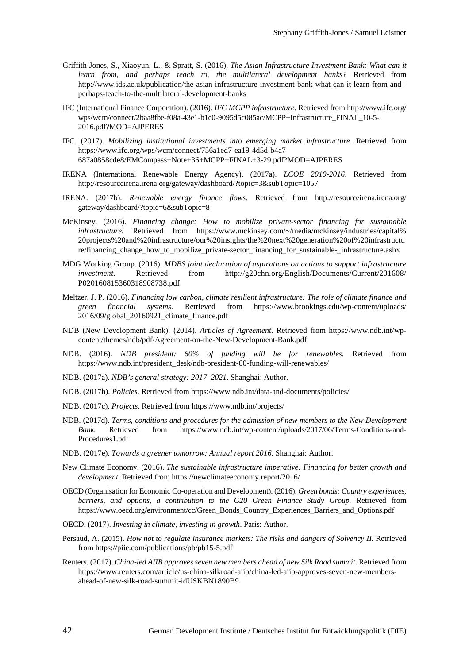- Griffith-Jones, S., Xiaoyun, L., & Spratt, S. (2016). *The Asian Infrastructure Investment Bank: What can it learn from, and perhaps teach to, the multilateral development banks?* Retrieved from [http://www.ids.ac.uk/publication/the-asian-infrastructure-investment-bank-what-can-it-learn-from-and](http://www.ids.ac.uk/publication/the-asian-infrastructure-investment-bank-what-can-it-learn-from-and-perhaps-teach-to-the-multilateral-development-banks)[perhaps-teach-to-the-multilateral-development-banks](http://www.ids.ac.uk/publication/the-asian-infrastructure-investment-bank-what-can-it-learn-from-and-perhaps-teach-to-the-multilateral-development-banks)
- IFC (International Finance Corporation). (2016). *IFC MCPP infrastructure*. Retrieved fro[m http://www.ifc.org/](http://www.ifc.org/wps/wcm/connect/2baa8fbe-f08a-43e1-b1e0-9095d5c085ac/MCPP+Infrastructure_FINAL_10-5-2016.pdf?MOD=AJPERES) [wps/wcm/connect/2baa8fbe-f08a-43e1-b1e0-9095d5c085ac/MCPP+Infrastructure\\_FINAL\\_10-5-](http://www.ifc.org/wps/wcm/connect/2baa8fbe-f08a-43e1-b1e0-9095d5c085ac/MCPP+Infrastructure_FINAL_10-5-2016.pdf?MOD=AJPERES) [2016.pdf?MOD=AJPERES](http://www.ifc.org/wps/wcm/connect/2baa8fbe-f08a-43e1-b1e0-9095d5c085ac/MCPP+Infrastructure_FINAL_10-5-2016.pdf?MOD=AJPERES)
- IFC. (2017). *Mobilizing institutional investments into emerging market infrastructure*. Retrieved from [https://www.ifc.org/wps/wcm/connect/756a1ed7-ea19-4d5d-b4a7-](https://www.ifc.org/wps/wcm/connect/756a1ed7-ea19-4d5d-b4a7-687a0858cde8/EMCompass+Note+36+MCPP+FINAL+3-29.pdf?MOD=AJPERES%20) [687a0858cde8/EMCompass+Note+36+MCPP+FINAL+3-29.pdf?MOD=AJPERES](https://www.ifc.org/wps/wcm/connect/756a1ed7-ea19-4d5d-b4a7-687a0858cde8/EMCompass+Note+36+MCPP+FINAL+3-29.pdf?MOD=AJPERES%20)
- IRENA (International Renewable Energy Agency). (2017a). *LCOE 2010-2016*. Retrieved from <http://resourceirena.irena.org/gateway/dashboard/?topic=3&subTopic=1057>
- IRENA. (2017b). *Renewable energy finance flows*. Retrieved from [http://resourceirena.irena.org/](http://resourceirena.irena.org/gateway/dashboard/?topic=6&subTopic=8) [gateway/dashboard/?topic=6&subTopic=8](http://resourceirena.irena.org/gateway/dashboard/?topic=6&subTopic=8)
- McKinsey. (2016). *Financing change: How to mobilize private-sector financing for sustainable infrastructure.* Retrieved from [https://www.mckinsey.com/~/media/mckinsey/industries/capital%](https://www.mckinsey.com/%7E/media/mckinsey/industries/capital%20projects%20and%20infrastructure/our%20insights/the%20next%20generation%20of%20infrastructure/financing_change_how_to_mobilize_private-sector_financing_for_sustainable-_infrastructure.ashx) [20projects%20and%20infrastructure/our%20insights/the%20next%20generation%20of%20infrastructu](https://www.mckinsey.com/%7E/media/mckinsey/industries/capital%20projects%20and%20infrastructure/our%20insights/the%20next%20generation%20of%20infrastructure/financing_change_how_to_mobilize_private-sector_financing_for_sustainable-_infrastructure.ashx) re/financing change how to mobilize private-sector financing for sustainable- infrastructure.ashx
- MDG Working Group. (2016). *MDBS joint declaration of aspirations on actions to support infrastructure investment.* Retrieved from [http://g20chn.org/English/Documents/Current/201608/](http://g20chn.org/English/Documents/Current/201608/P020160815360318908738.pdf) [P020160815360318908738.pdf](http://g20chn.org/English/Documents/Current/201608/P020160815360318908738.pdf)
- Meltzer, J. P. (2016). *Financing low carbon, climate resilient infrastructure: The role of climate finance and green financial systems*. Retrieved from [https://www.brookings.edu/wp-content/uploads/](https://www.brookings.edu/wp-content/uploads/2016/09/global_20160921_climate_finance.pdf) [2016/09/global\\_20160921\\_climate\\_finance.pdf](https://www.brookings.edu/wp-content/uploads/2016/09/global_20160921_climate_finance.pdf)
- NDB (New Development Bank). (2014). *Articles of Agreement*. Retrieved from [https://www.ndb.int/wp](https://www.ndb.int/wp-content/themes/ndb/pdf/Agreement-on-the-New-Development-Bank.pdf)[content/themes/ndb/pdf/Agreement-on-the-New-Development-Bank.pdf](https://www.ndb.int/wp-content/themes/ndb/pdf/Agreement-on-the-New-Development-Bank.pdf)
- NDB. (2016). *NDB president: 60% of funding will be for renewables.* Retrieved from [https://www.ndb.int/president\\_desk/ndb-president-60-funding-will-renewables/](https://www.ndb.int/president_desk/ndb-president-60-funding-will-renewables/)
- NDB. (2017a). *NDB's general strategy: 2017–2021*. Shanghai: Author.
- NDB. (2017b). *Policies*. Retrieved fro[m https://www.ndb.int/data-and-documents/policies/](https://www.ndb.int/data-and-documents/policies/)
- NDB. (2017c). *Projects*. Retrieved from<https://www.ndb.int/projects/>
- NDB. (2017d). *Terms, conditions and procedures for the admission of new members to the New Development Bank.* Retrieved from [https://www.ndb.int/wp-content/uploads/2017/06/Terms-Conditions-and-](https://www.ndb.int/wp-content/uploads/2017/06/Terms-Conditions-and-Procedures1.pdf)[Procedures1.pdf](https://www.ndb.int/wp-content/uploads/2017/06/Terms-Conditions-and-Procedures1.pdf)
- NDB. (2017e). *Towards a greener tomorrow: Annual report 2016.* Shanghai: Author.
- New Climate Economy. (2016). *The sustainable infrastructure imperative: Financing for better growth and development*. Retrieved from<https://newclimateeconomy.report/2016/>
- OECD (Organisation for Economic Co-operation and Development). (2016). *Green bonds: Country experiences, barriers, and options, a contribution to the G20 Green Finance Study Group.* Retrieved from [https://www.oecd.org/environment/cc/Green\\_Bonds\\_Country\\_Experiences\\_Barriers\\_and\\_Options.pdf](https://www.oecd.org/environment/cc/Green_Bonds_Country_Experiences_Barriers_and_Options.pdf)
- OECD. (2017). *Investing in climate, investing in growth*. Paris: Author.
- Persaud, A. (2015). *How not to regulate insurance markets: The risks and dangers of Solvency II.* Retrieved from<https://piie.com/publications/pb/pb15-5.pdf>
- Reuters. (2017). *China-led AIIB approves seven new members ahead of new Silk Road summit*. Retrieved from [https://www.reuters.com/article/us-china-silkroad-aiib/china-led-aiib-approves-seven-new-members](https://www.reuters.com/article/us-china-silkroad-aiib/china-led-aiib-approves-seven-new-members-ahead-of-new-silk-road-summit-idUSKBN1890B9)[ahead-of-new-silk-road-summit-idUSKBN1890B9](https://www.reuters.com/article/us-china-silkroad-aiib/china-led-aiib-approves-seven-new-members-ahead-of-new-silk-road-summit-idUSKBN1890B9)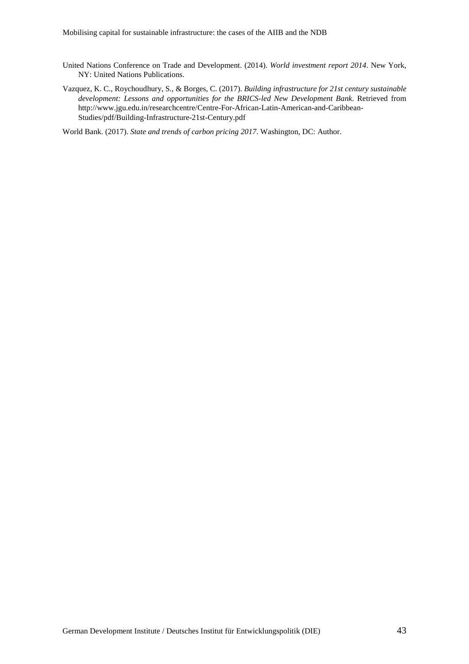- United Nations Conference on Trade and Development. (2014). *World investment report 2014*. New York, NY: United Nations Publications.
- Vazquez, K. C., Roychoudhury, S., & Borges, C. (2017). *Building infrastructure for 21st century sustainable development: Lessons and opportunities for the BRICS-led New Development Bank*. Retrieved from [http://www.jgu.edu.in/researchcentre/Centre-For-African-Latin-American-and-Caribbean-](http://www.jgu.edu.in/researchcentre/Centre-For-African-Latin-American-and-Caribbean-Studies/pdf/Building-Infrastructure-21st-Century.pdf)[Studies/pdf/Building-Infrastructure-21st-Century.pdf](http://www.jgu.edu.in/researchcentre/Centre-For-African-Latin-American-and-Caribbean-Studies/pdf/Building-Infrastructure-21st-Century.pdf)

World Bank. (2017). *State and trends of carbon pricing 2017*. Washington, DC: Author.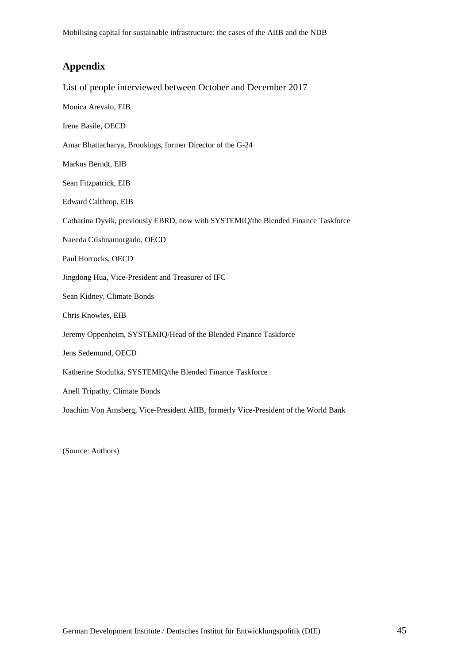## **Appendix**

List of people interviewed between October and December 2017

- Monica Arevalo, EIB
- Irene Basile, OECD
- Amar Bhattacharya, Brookings, former Director of the G-24
- Markus Berndt, EIB
- Sean Fitzpatrick, EIB
- Edward Calthrop, EIB
- Catharina Dyvik, previously EBRD, now with SYSTEMIQ/the Blended Finance Taskforce
- Naeeda Crishnamorgado, OECD
- Paul Horrocks, OECD
- Jingdong Hua, Vice-President and Treasurer of IFC
- Sean Kidney, Climate Bonds
- Chris Knowles, EIB
- Jeremy Oppenheim, SYSTEMIQ/Head of the Blended Finance Taskforce
- Jens Sedemund, OECD
- Katherine Stodulka, SYSTEMIQ/the Blended Finance Taskforce
- Anell Tripathy, Climate Bonds
- Joachim Von Amsberg, Vice-President AIIB, formerly Vice-President of the World Bank

(Source: Authors)